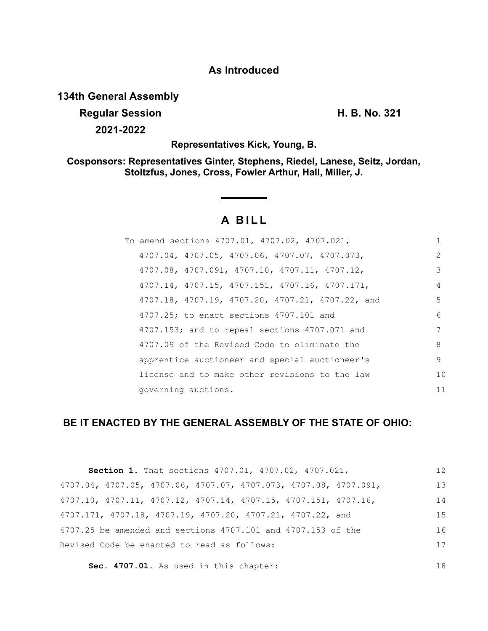## **As Introduced**

# **134th General Assembly**

# **Regular Session H. B. No. 321**

**2021-2022**

18

**Representatives Kick, Young, B.**

**Cosponsors: Representatives Ginter, Stephens, Riedel, Lanese, Seitz, Jordan, Stoltzfus, Jones, Cross, Fowler Arthur, Hall, Miller, J.**

# **A B I L L**

| To amend sections 4707.01, 4707.02, 4707.021,    | 1             |
|--------------------------------------------------|---------------|
| 4707.04, 4707.05, 4707.06, 4707.07, 4707.073,    | $\mathcal{L}$ |
| 4707.08, 4707.091, 4707.10, 4707.11, 4707.12,    | 3             |
| 4707.14, 4707.15, 4707.151, 4707.16, 4707.171,   | 4             |
| 4707.18, 4707.19, 4707.20, 4707.21, 4707.22, and | .5            |
| 4707.25; to enact sections 4707.101 and          | 6             |
| 4707.153; and to repeal sections 4707.071 and    | 7             |
| 4707.09 of the Revised Code to eliminate the     | 8             |
| apprentice auctioneer and special auctioneer's   | 9             |
| license and to make other revisions to the law   | 10            |
| governing auctions.                              | 11            |

# **BE IT ENACTED BY THE GENERAL ASSEMBLY OF THE STATE OF OHIO:**

| Section 1. That sections 4707.01, 4707.02, 4707.021,                                 | 12  |
|--------------------------------------------------------------------------------------|-----|
| 4707.04, 4707.05, 4707.06, 4707.07, 4707.073, 4707.08, 4707.091,                     | 13  |
| $4707.10$ , $4707.11$ , $4707.12$ , $4707.14$ , $4707.15$ , $4707.151$ , $4707.16$ , | 14  |
| 4707.171, 4707.18, 4707.19, 4707.20, 4707.21, 4707.22, and                           | 1.5 |
| 4707.25 be amended and sections 4707.101 and 4707.153 of the                         | 16  |
| Revised Code be enacted to read as follows:                                          | 17  |
|                                                                                      |     |

**Sec. 4707.01.** As used in this chapter: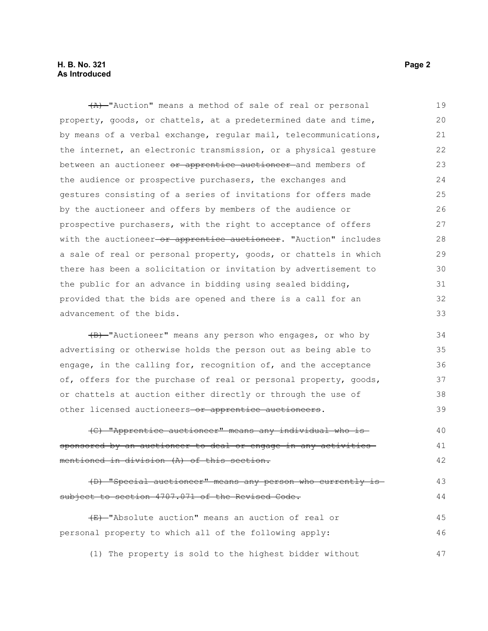### **H. B. No. 321 Page 2 As Introduced**

(A) "Auction" means a method of sale of real or personal property, goods, or chattels, at a predetermined date and time, by means of a verbal exchange, regular mail, telecommunications, the internet, an electronic transmission, or a physical gesture between an auctioneer or apprentice auctioneer and members of the audience or prospective purchasers, the exchanges and gestures consisting of a series of invitations for offers made by the auctioneer and offers by members of the audience or prospective purchasers, with the right to acceptance of offers with the auctioneer-or apprentice auctioneer. "Auction" includes a sale of real or personal property, goods, or chattels in which there has been a solicitation or invitation by advertisement to the public for an advance in bidding using sealed bidding, provided that the bids are opened and there is a call for an advancement of the bids. 19 20 21 22 23 24 25 26 27 28 29 30 31 32 33

(B) "Auctioneer" means any person who engages, or who by advertising or otherwise holds the person out as being able to engage, in the calling for, recognition of, and the acceptance of, offers for the purchase of real or personal property, goods, or chattels at auction either directly or through the use of other licensed auctioneers-or apprentice auctioneers. 34 35 36 37 38 39

(C) "Apprentice auctioneer" means any individual who is sponsored by an auctioneer to deal or engage in any activities mentioned in division (A) of this section. 40 41 42

(D) "Special auctioneer" means any person who currently is subject to section 4707.071 of the Revised Code. 43 44

(E) "Absolute auction" means an auction of real or personal property to which all of the following apply: 45 46

(1) The property is sold to the highest bidder without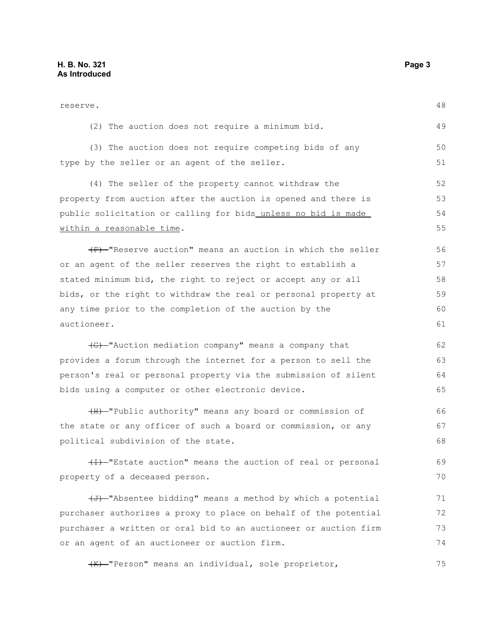| reserve.                                                         | 48 |
|------------------------------------------------------------------|----|
| (2) The auction does not require a minimum bid.                  | 49 |
| (3) The auction does not require competing bids of any           | 50 |
| type by the seller or an agent of the seller.                    | 51 |
| (4) The seller of the property cannot withdraw the               | 52 |
| property from auction after the auction is opened and there is   | 53 |
| public solicitation or calling for bids_unless_no_bid_is_made_   | 54 |
| within a reasonable time.                                        | 55 |
| (F) "Reserve auction" means an auction in which the seller       | 56 |
| or an agent of the seller reserves the right to establish a      | 57 |
| stated minimum bid, the right to reject or accept any or all     | 58 |
| bids, or the right to withdraw the real or personal property at  | 59 |
| any time prior to the completion of the auction by the           | 60 |
| auctioneer.                                                      | 61 |
| (G) -"Auction mediation company" means a company that            | 62 |
| provides a forum through the internet for a person to sell the   | 63 |
| person's real or personal property via the submission of silent  | 64 |
| bids using a computer or other electronic device.                | 65 |
| (H) "Public authority" means any board or commission of          | 66 |
| the state or any officer of such a board or commission, or any   | 67 |
| political subdivision of the state.                              | 68 |
| (I) "Estate auction" means the auction of real or personal       | 69 |
| property of a deceased person.                                   | 70 |
| (J) "Absentee bidding" means a method by which a potential       | 71 |
| purchaser authorizes a proxy to place on behalf of the potential | 72 |
| purchaser a written or oral bid to an auctioneer or auction firm | 73 |
| or an agent of an auctioneer or auction firm.                    | 74 |

(K) "Person" means an individual, sole proprietor, 75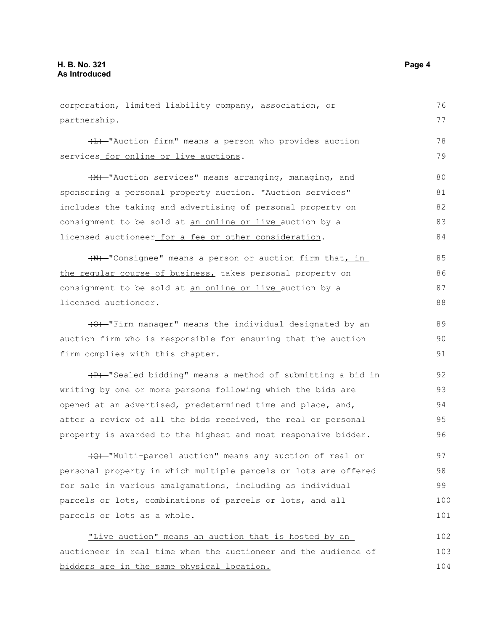partnership. (L) "Auction firm" means a person who provides auction services for online or live auctions. (M) "Auction services" means arranging, managing, and sponsoring a personal property auction. "Auction services" includes the taking and advertising of personal property on consignment to be sold at an online or live auction by a licensed auctioneer for a fee or other consideration. (N) "Consignee" means a person or auction firm that, in the regular course of business, takes personal property on consignment to be sold at an online or live auction by a licensed auctioneer. (O) "Firm manager" means the individual designated by an auction firm who is responsible for ensuring that the auction firm complies with this chapter. (P) "Sealed bidding" means a method of submitting a bid in writing by one or more persons following which the bids are opened at an advertised, predetermined time and place, and, after a review of all the bids received, the real or personal property is awarded to the highest and most responsive bidder. (Q) "Multi-parcel auction" means any auction of real or personal property in which multiple parcels or lots are offered for sale in various amalgamations, including as individual parcels or lots, combinations of parcels or lots, and all parcels or lots as a whole. "Live auction" means an auction that is hosted by an auctioneer in real time when the auctioneer and the audience of bidders are in the same physical location. 77 78 79 80 81 82 83 84 85 86 87 88 89 90 91 92 93 94 95 96 97 98 99 100 101 102 103 104

corporation, limited liability company, association, or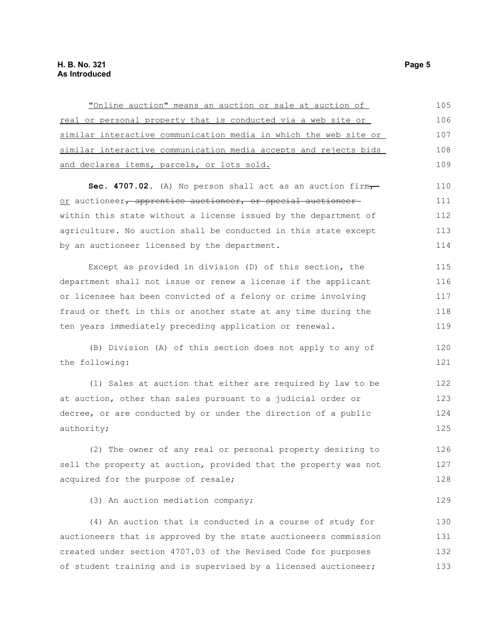| "Online auction" means an auction or sale at auction of          | 105 |
|------------------------------------------------------------------|-----|
| real or personal property that is conducted via a web site or    | 106 |
| similar interactive communication media in which the web site or | 107 |
| similar interactive communication media accepts and rejects bids | 108 |
| and declares items, parcels, or lots sold.                       | 109 |
| Sec. 4707.02. (A) No person shall act as an auction firm,        | 110 |
| or auctioneer, apprentice auctioneer, or special auctioneer      | 111 |
| within this state without a license issued by the department of  | 112 |
| agriculture. No auction shall be conducted in this state except  | 113 |
| by an auctioneer licensed by the department.                     | 114 |
| Except as provided in division (D) of this section, the          | 115 |
| department shall not issue or renew a license if the applicant   | 116 |
| or licensee has been convicted of a felony or crime involving    | 117 |
| fraud or theft in this or another state at any time during the   | 118 |
| ten years immediately preceding application or renewal.          | 119 |
| (B) Division (A) of this section does not apply to any of        | 120 |
| the following:                                                   | 121 |
| (1) Sales at auction that either are required by law to be       | 122 |
| at auction, other than sales pursuant to a judicial order or     | 123 |
| decree, or are conducted by or under the direction of a public   | 124 |
| authority;                                                       | 125 |
| (2) The owner of any real or personal property desiring to       | 126 |
| sell the property at auction, provided that the property was not | 127 |
| acquired for the purpose of resale;                              | 128 |
| (3) An auction mediation company;                                | 129 |
| (4) An auction that is conducted in a course of study for        | 130 |
| auctioneers that is approved by the state auctioneers commission | 131 |
| created under section 4707.03 of the Revised Code for purposes   | 132 |
| of student training and is supervised by a licensed auctioneer;  | 133 |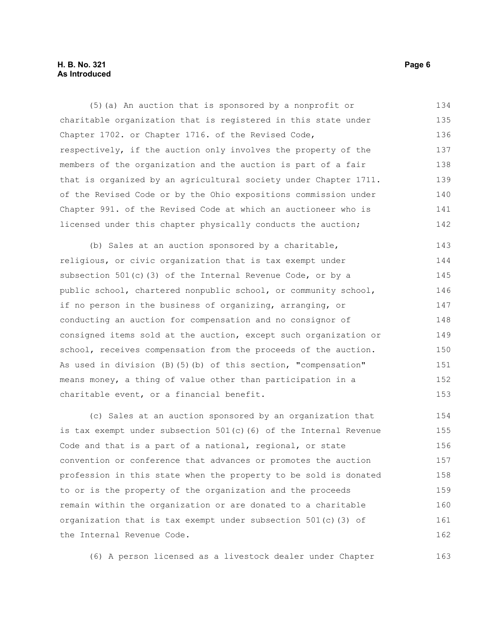### **H. B. No. 321 Page 6 As Introduced**

(5)(a) An auction that is sponsored by a nonprofit or charitable organization that is registered in this state under Chapter 1702. or Chapter 1716. of the Revised Code, respectively, if the auction only involves the property of the members of the organization and the auction is part of a fair that is organized by an agricultural society under Chapter 1711. of the Revised Code or by the Ohio expositions commission under Chapter 991. of the Revised Code at which an auctioneer who is licensed under this chapter physically conducts the auction; 134 135 136 137 138 139 140 141 142

(b) Sales at an auction sponsored by a charitable, religious, or civic organization that is tax exempt under subsection 501(c)(3) of the Internal Revenue Code, or by a public school, chartered nonpublic school, or community school, if no person in the business of organizing, arranging, or conducting an auction for compensation and no consignor of consigned items sold at the auction, except such organization or school, receives compensation from the proceeds of the auction. As used in division (B)(5)(b) of this section, "compensation" means money, a thing of value other than participation in a charitable event, or a financial benefit. 143 144 145 146 147 148 149 150 151 152 153

(c) Sales at an auction sponsored by an organization that is tax exempt under subsection 501(c)(6) of the Internal Revenue Code and that is a part of a national, regional, or state convention or conference that advances or promotes the auction profession in this state when the property to be sold is donated to or is the property of the organization and the proceeds remain within the organization or are donated to a charitable organization that is tax exempt under subsection 501(c)(3) of the Internal Revenue Code. 154 155 156 157 158 159 160 161 162

(6) A person licensed as a livestock dealer under Chapter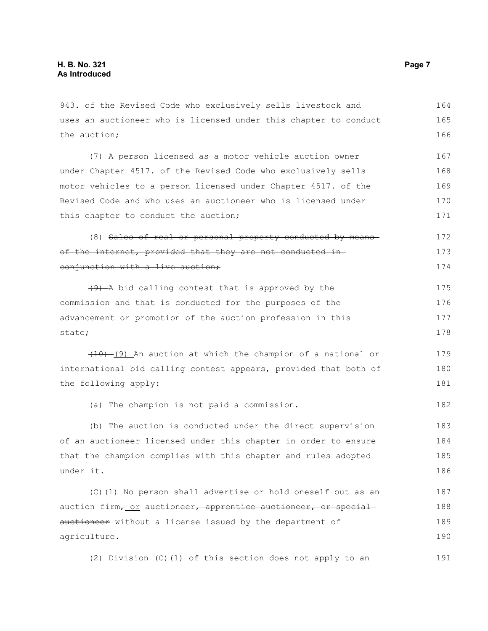943. of the Revised Code who exclusively sells livestock and uses an auctioneer who is licensed under this chapter to conduct the auction; (7) A person licensed as a motor vehicle auction owner under Chapter 4517. of the Revised Code who exclusively sells motor vehicles to a person licensed under Chapter 4517. of the Revised Code and who uses an auctioneer who is licensed under this chapter to conduct the auction; (8) Sales of real or personal property conducted by means of the internet, provided that they are not conducted in conjunction with a live auction;  $(9)$  -A bid calling contest that is approved by the commission and that is conducted for the purposes of the advancement or promotion of the auction profession in this state;  $(10)$  (9) An auction at which the champion of a national or international bid calling contest appears, provided that both of the following apply: (a) The champion is not paid a commission. (b) The auction is conducted under the direct supervision of an auctioneer licensed under this chapter in order to ensure that the champion complies with this chapter and rules adopted under it. (C)(1) No person shall advertise or hold oneself out as an auction firm<sub>7</sub> or auctioneer, apprentice auctioneer, or special auctioneer without a license issued by the department of agriculture. (2) Division (C)(1) of this section does not apply to an 164 165 166 167 168 169 170 171 172 173 174 175 176 177 178 179 180 181 182 183 184 185 186 187 188 189 190 191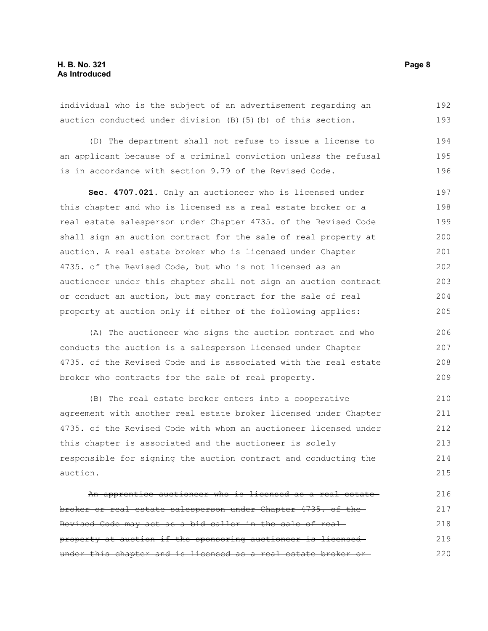individual who is the subject of an advertisement regarding an auction conducted under division (B)(5)(b) of this section. 192 193

(D) The department shall not refuse to issue a license to an applicant because of a criminal conviction unless the refusal is in accordance with section 9.79 of the Revised Code. 194 195 196

**Sec. 4707.021.** Only an auctioneer who is licensed under this chapter and who is licensed as a real estate broker or a real estate salesperson under Chapter 4735. of the Revised Code shall sign an auction contract for the sale of real property at auction. A real estate broker who is licensed under Chapter 4735. of the Revised Code, but who is not licensed as an auctioneer under this chapter shall not sign an auction contract or conduct an auction, but may contract for the sale of real property at auction only if either of the following applies: 197 198 199 200 201 202 203 204 205

(A) The auctioneer who signs the auction contract and who conducts the auction is a salesperson licensed under Chapter 4735. of the Revised Code and is associated with the real estate broker who contracts for the sale of real property. 206 207 208 209

(B) The real estate broker enters into a cooperative agreement with another real estate broker licensed under Chapter 4735. of the Revised Code with whom an auctioneer licensed under this chapter is associated and the auctioneer is solely responsible for signing the auction contract and conducting the auction. 210 211 212 213 214 215

An apprentice auctioneer who is licensed as a real estate broker or real estate salesperson under Chapter 4735. of the Revised Code may act as a bid caller in the sale of real property at auction if the sponsoring auctioneer is licensed under this chapter and is licensed as a real estate broker or-216 217 218 219 220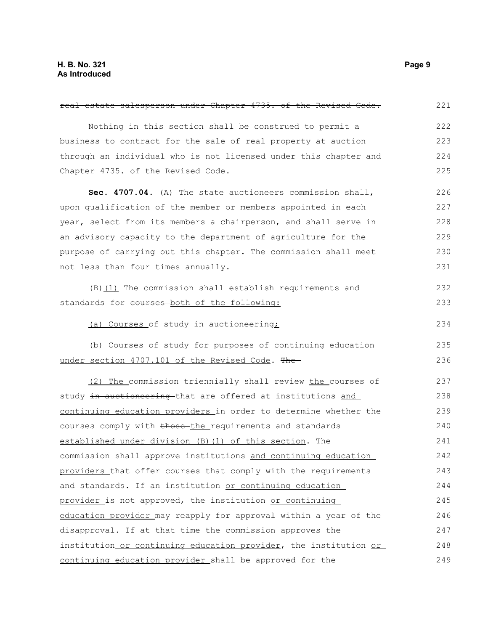| real estate salesperson under Chapter 4735. of the Revised Code. | 221 |
|------------------------------------------------------------------|-----|
| Nothing in this section shall be construed to permit a           | 222 |
| business to contract for the sale of real property at auction    | 223 |
| through an individual who is not licensed under this chapter and | 224 |
| Chapter 4735. of the Revised Code.                               | 225 |
| Sec. 4707.04. (A) The state auctioneers commission shall,        | 226 |
| upon qualification of the member or members appointed in each    | 227 |
| year, select from its members a chairperson, and shall serve in  | 228 |
| an advisory capacity to the department of agriculture for the    | 229 |
| purpose of carrying out this chapter. The commission shall meet  | 230 |
| not less than four times annually.                               | 231 |
| $(B)$ (1) The commission shall establish requirements and        | 232 |
| standards for eourses-both of the following:                     | 233 |
| (a) Courses of study in auctioneering;                           | 234 |
| (b) Courses of study for purposes of continuing education        | 235 |
| under section 4707.101 of the Revised Code. The                  | 236 |
| (2) The commission triennially shall review the courses of       | 237 |
| study in auctioneering that are offered at institutions and      | 238 |
| continuing education providers in order to determine whether the | 239 |
| courses comply with those the requirements and standards         | 240 |
| established under division (B) (1) of this section. The          | 241 |
| commission shall approve institutions and continuing education   | 242 |
| providers that offer courses that comply with the requirements   | 243 |
| and standards. If an institution or continuing education         | 244 |
| provider is not approved, the institution or continuing          | 245 |
| education provider may reapply for approval within a year of the | 246 |
| disapproval. If at that time the commission approves the         | 247 |
| institution or continuing education provider, the institution or | 248 |
| continuing education provider shall be approved for the          | 249 |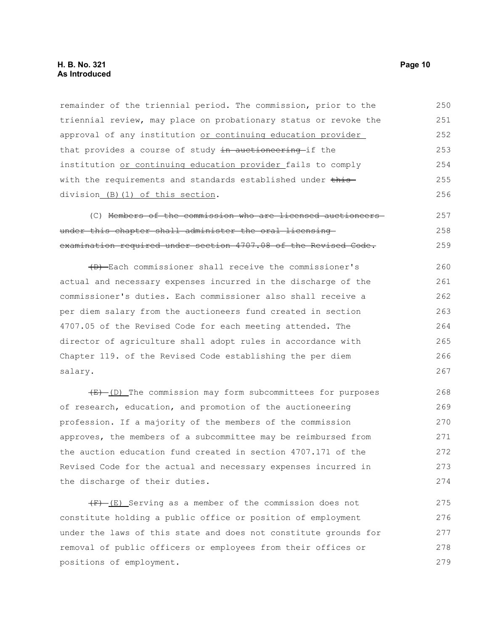remainder of the triennial period. The commission, prior to the triennial review, may place on probationary status or revoke the approval of any institution or continuing education provider that provides a course of study in auctioneering if the institution or continuing education provider fails to comply with the requirements and standards established under thisdivision (B)(1) of this section. 250 251 252 253 254 255 256

(C) Members of the commission who are licensed auctioneers under this chapter shall administer the oral licensing examination required under section 4707.08 of the Revised Code. 257 258 259

(D) Each commissioner shall receive the commissioner's actual and necessary expenses incurred in the discharge of the commissioner's duties. Each commissioner also shall receive a per diem salary from the auctioneers fund created in section 4707.05 of the Revised Code for each meeting attended. The director of agriculture shall adopt rules in accordance with Chapter 119. of the Revised Code establishing the per diem salary. 260 261 262 263 264 265 266 267

 $(E)$  (D) The commission may form subcommittees for purposes of research, education, and promotion of the auctioneering profession. If a majority of the members of the commission approves, the members of a subcommittee may be reimbursed from the auction education fund created in section 4707.171 of the Revised Code for the actual and necessary expenses incurred in the discharge of their duties. 268 269 270 271 272 273 274

 $(F)$  (E) Serving as a member of the commission does not constitute holding a public office or position of employment under the laws of this state and does not constitute grounds for removal of public officers or employees from their offices or positions of employment. 275 276 277 278 279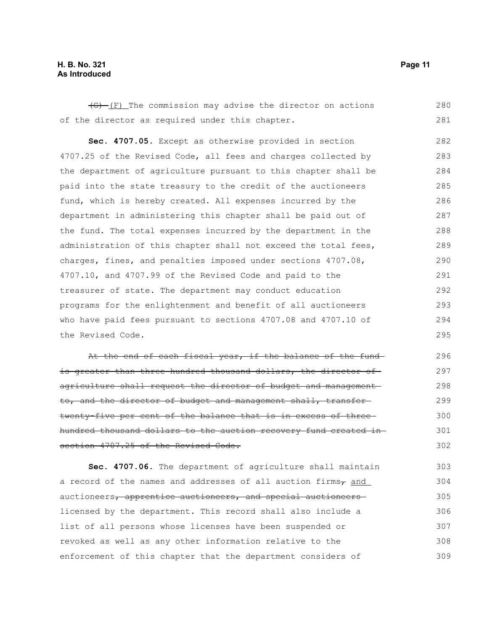### **H. B. No. 321 Page 11 As Introduced**

 $\overline{(G) - (F)}$  The commission may advise the director on actions of the director as required under this chapter. 280 281

**Sec. 4707.05.** Except as otherwise provided in section 4707.25 of the Revised Code, all fees and charges collected by the department of agriculture pursuant to this chapter shall be paid into the state treasury to the credit of the auctioneers fund, which is hereby created. All expenses incurred by the department in administering this chapter shall be paid out of the fund. The total expenses incurred by the department in the administration of this chapter shall not exceed the total fees, charges, fines, and penalties imposed under sections 4707.08, 4707.10, and 4707.99 of the Revised Code and paid to the treasurer of state. The department may conduct education programs for the enlightenment and benefit of all auctioneers who have paid fees pursuant to sections 4707.08 and 4707.10 of the Revised Code. 282 283 284 285 286 287 288 289 290 291 292 293 294 295

At the end of each fiscal year, if the balance of the fundis greater than three hundred thousand dollars, the director of agriculture shall request the director of budget and management to, and the director of budget and management shall, transfertwenty-five per cent of the balance that is in excess of threehundred thousand dollars to the auction recovery fund created in section 4707.25 of the Revised Code. 296 297 298 299 300 301 302

**Sec. 4707.06.** The department of agriculture shall maintain a record of the names and addresses of all auction firms $_7$  and auctioneers, apprentice auctioneers, and special auctioneers licensed by the department. This record shall also include a list of all persons whose licenses have been suspended or revoked as well as any other information relative to the enforcement of this chapter that the department considers of 303 304 305 306 307 308 309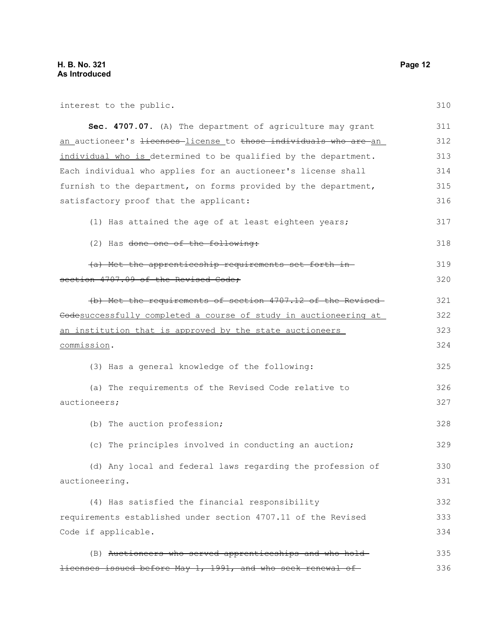| interest to the public.                                                                         | 310 |
|-------------------------------------------------------------------------------------------------|-----|
| Sec. 4707.07. (A) The department of agriculture may grant                                       | 311 |
| <u>an auctioneer's <del>licenses </del>license t</u> o <del>those individuals who are a</del> n | 312 |
| individual who is determined to be qualified by the department.                                 | 313 |
| Each individual who applies for an auctioneer's license shall                                   | 314 |
| furnish to the department, on forms provided by the department,                                 | 315 |
| satisfactory proof that the applicant:                                                          | 316 |
| (1) Has attained the age of at least eighteen years;                                            | 317 |
| (2) Has <del>done one of the following:</del>                                                   | 318 |
| (a) Met the apprenticeship requirements set forth in-                                           | 319 |
| section 4707.09 of the Revised Code;                                                            | 320 |
| (b) Met the requirements of section 4707.12 of the Revised-                                     | 321 |
| Codesuccessfully completed a course of study in auctioneering at                                | 322 |
| an institution that is approved by the state auctioneers                                        | 323 |
| commission.                                                                                     | 324 |
| (3) Has a general knowledge of the following:                                                   | 325 |
| (a) The requirements of the Revised Code relative to                                            | 326 |
| auctioneers;                                                                                    | 327 |
| (b) The auction profession;                                                                     | 328 |
| (c) The principles involved in conducting an auction;                                           | 329 |
| (d) Any local and federal laws regarding the profession of                                      | 330 |
| auctioneering.                                                                                  | 331 |
| (4) Has satisfied the financial responsibility                                                  | 332 |
| requirements established under section 4707.11 of the Revised                                   | 333 |
| Code if applicable.                                                                             | 334 |
| (B) Auctioneers who served apprenticeships and who hold-                                        | 335 |
| <del>licenses issued before May 1, 1991, and who seek renewal of</del>                          | 336 |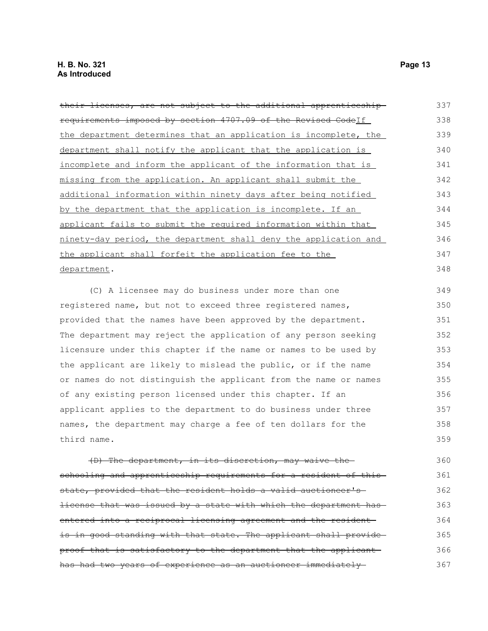| their licenses, are not subject to the additional apprenticeship-     | 337 |
|-----------------------------------------------------------------------|-----|
| requirements imposed by section 4707.09 of the Revised CodeIf         | 338 |
| the department determines that an application is incomplete, the      | 339 |
| department shall notify the applicant that the application is         | 340 |
| <u>incomplete and inform the applicant of the information that is</u> | 341 |
| missing from the application. An applicant shall submit the           | 342 |
| additional information within ninety days after being notified        | 343 |
| by the department that the application is incomplete. If an           | 344 |
| applicant fails to submit the required information within that        | 345 |
| ninety-day period, the department shall deny the application and      | 346 |
| the applicant shall forfeit the application fee to the                | 347 |
| department.                                                           | 348 |
| (C) A licensee may do business under more than one                    | 349 |

registered name, but not to exceed three registered names, provided that the names have been approved by the department. The department may reject the application of any person seeking licensure under this chapter if the name or names to be used by the applicant are likely to mislead the public, or if the name or names do not distinguish the applicant from the name or names of any existing person licensed under this chapter. If an applicant applies to the department to do business under three names, the department may charge a fee of ten dollars for the third name. 350 351 352 353 354 355 356 357 358 359

(D) The department, in its discretion, may waive the schooling and apprenticeship requirements for a resident of thisstate, provided that the resident holds a valid auctioneer's license that was issued by a state with which the department has entered into a reciprocal licensing agreement and the resident is in good standing with that state. The applicant shall provideproof that is satisfactory to the department that the applicant has had two years of experience as an auctioneer immediately 360 361 362 363 364 365 366 367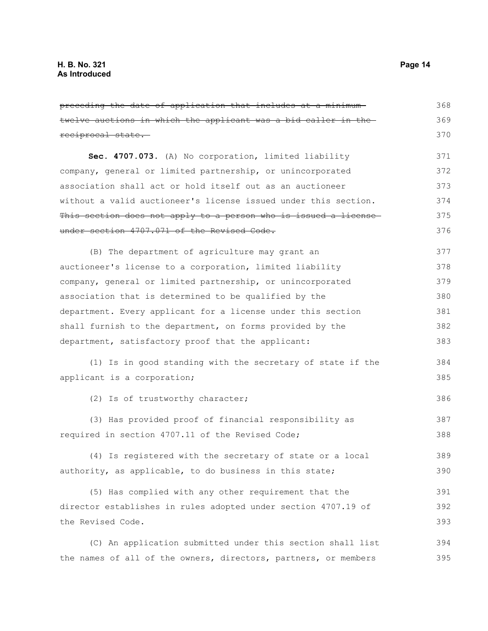| preceding the date of application that includes at a minimum-   | 368 |
|-----------------------------------------------------------------|-----|
| twelve auctions in which the applicant was a bid caller in the  | 369 |
| reciprocal state.                                               | 370 |
| Sec. 4707.073. (A) No corporation, limited liability            | 371 |
| company, general or limited partnership, or unincorporated      | 372 |
| association shall act or hold itself out as an auctioneer       | 373 |
| without a valid auctioneer's license issued under this section. | 374 |
| This section does not apply to a person who is issued a license | 375 |
| under section 4707.071 of the Revised Code.                     | 376 |
| (B) The department of agriculture may grant an                  | 377 |
| auctioneer's license to a corporation, limited liability        | 378 |
| company, general or limited partnership, or unincorporated      | 379 |
| association that is determined to be qualified by the           | 380 |
| department. Every applicant for a license under this section    | 381 |
| shall furnish to the department, on forms provided by the       | 382 |
| department, satisfactory proof that the applicant:              | 383 |
| (1) Is in good standing with the secretary of state if the      | 384 |
| applicant is a corporation;                                     | 385 |
| (2) Is of trustworthy character;                                | 386 |
| (3) Has provided proof of financial responsibility as           | 387 |
| required in section 4707.11 of the Revised Code;                | 388 |
| (4) Is registered with the secretary of state or a local        | 389 |
| authority, as applicable, to do business in this state;         | 390 |
| (5) Has complied with any other requirement that the            | 391 |
| director establishes in rules adopted under section 4707.19 of  | 392 |
| the Revised Code.                                               | 393 |
| (C) An application submitted under this section shall list      | 394 |

the names of all of the owners, directors, partners, or members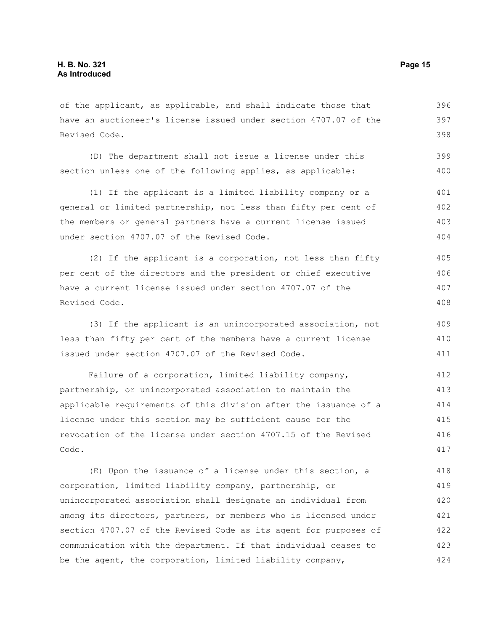of the applicant, as applicable, and shall indicate those that have an auctioneer's license issued under section 4707.07 of the Revised Code. 396 397 398

(D) The department shall not issue a license under this section unless one of the following applies, as applicable: 399 400

(1) If the applicant is a limited liability company or a general or limited partnership, not less than fifty per cent of the members or general partners have a current license issued under section 4707.07 of the Revised Code. 401 402 403 404

(2) If the applicant is a corporation, not less than fifty per cent of the directors and the president or chief executive have a current license issued under section 4707.07 of the Revised Code. 405 406 407 408

(3) If the applicant is an unincorporated association, not less than fifty per cent of the members have a current license issued under section 4707.07 of the Revised Code. 409 410 411

Failure of a corporation, limited liability company, partnership, or unincorporated association to maintain the applicable requirements of this division after the issuance of a license under this section may be sufficient cause for the revocation of the license under section 4707.15 of the Revised Code. 412 413 414 415 416 417

(E) Upon the issuance of a license under this section, a corporation, limited liability company, partnership, or unincorporated association shall designate an individual from among its directors, partners, or members who is licensed under section 4707.07 of the Revised Code as its agent for purposes of communication with the department. If that individual ceases to be the agent, the corporation, limited liability company, 418 419 420 421 422 423 424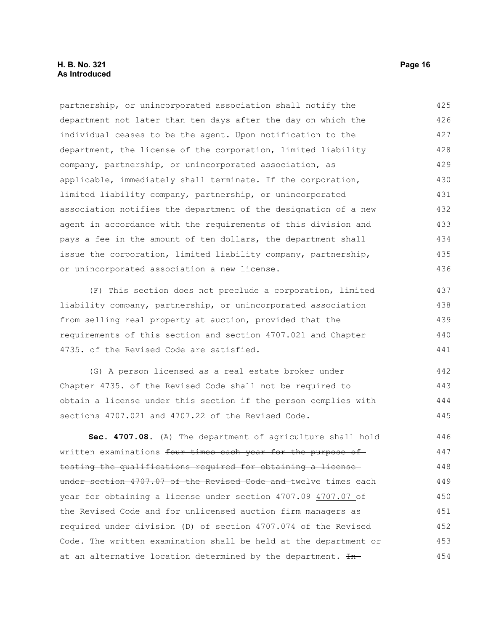### **H. B. No. 321 Page 16 As Introduced**

partnership, or unincorporated association shall notify the department not later than ten days after the day on which the individual ceases to be the agent. Upon notification to the department, the license of the corporation, limited liability company, partnership, or unincorporated association, as applicable, immediately shall terminate. If the corporation, limited liability company, partnership, or unincorporated association notifies the department of the designation of a new agent in accordance with the requirements of this division and pays a fee in the amount of ten dollars, the department shall issue the corporation, limited liability company, partnership, or unincorporated association a new license. 425 426 427 428 429 430 431 432 433 434 435 436

(F) This section does not preclude a corporation, limited liability company, partnership, or unincorporated association from selling real property at auction, provided that the requirements of this section and section 4707.021 and Chapter 4735. of the Revised Code are satisfied.

(G) A person licensed as a real estate broker under Chapter 4735. of the Revised Code shall not be required to obtain a license under this section if the person complies with sections 4707.021 and 4707.22 of the Revised Code. 442 443 444 445

**Sec. 4707.08.** (A) The department of agriculture shall hold written examinations four times each year for the purpose of testing the qualifications required for obtaining a license under section 4707.07 of the Revised Code and twelve times each year for obtaining a license under section 4707.09-4707.07 of the Revised Code and for unlicensed auction firm managers as required under division (D) of section 4707.074 of the Revised Code. The written examination shall be held at the department or at an alternative location determined by the department. In-446 447 448 449 450 451 452 453 454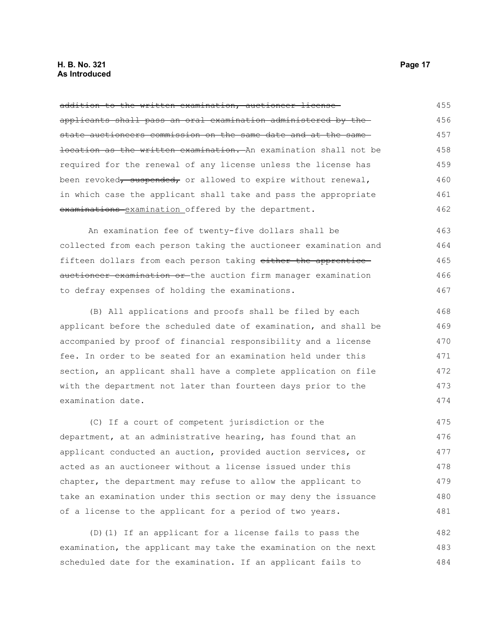### **H. B. No. 321 Page 17 As Introduced**

| addition to the written examination, auctioneer license-                     | 455 |
|------------------------------------------------------------------------------|-----|
| applicants shall pass an oral examination administered by the                | 456 |
| state auctioneers commission on the same date and at the same                | 457 |
| <del>location as the written examination. A</del> n examination shall not be | 458 |
| required for the renewal of any license unless the license has               | 459 |
| been revoked, suspended, or allowed to expire without renewal,               | 460 |
| in which case the applicant shall take and pass the appropriate              | 461 |
| examinations examination offered by the department.                          | 462 |
| An examination fee of twenty-five dollars shall be                           | 463 |
| collected from each person taking the auctioneer examination and             | 464 |
| fifteen dollars from each person taking either the apprentice                | 465 |
| auctioneer examination or the auction firm manager examination               | 466 |
| to defray expenses of holding the examinations.                              | 467 |
| (B) All applications and proofs shall be filed by each                       | 468 |
| applicant before the scheduled date of examination, and shall be             | 469 |
| accompanied by proof of financial responsibility and a license               | 470 |
| fee. In order to be seated for an examination held under this                | 471 |
| section, an applicant shall have a complete application on file              | 472 |
| with the department not later than fourteen days prior to the                | 473 |
| examination date.                                                            | 474 |
| (C) If a court of competent jurisdiction or the                              | 475 |
| department, at an administrative hearing, has found that an                  | 476 |
| applicant conducted an auction, provided auction services, or                | 477 |
| acted as an auctioneer without a license issued under this                   | 478 |
| chapter, the department may refuse to allow the applicant to                 | 479 |
| take an examination under this section or may deny the issuance              | 480 |
| of a license to the applicant for a period of two years.                     | 481 |
| (D) (1) If an applicant for a license fails to pass the                      | 482 |
| examination, the applicant may take the examination on the next              | 483 |

484

scheduled date for the examination. If an applicant fails to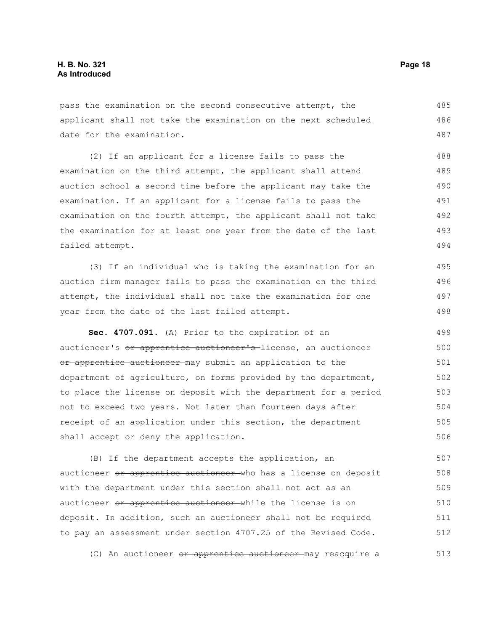pass the examination on the second consecutive attempt, the applicant shall not take the examination on the next scheduled date for the examination. 485 486 487

(2) If an applicant for a license fails to pass the examination on the third attempt, the applicant shall attend auction school a second time before the applicant may take the examination. If an applicant for a license fails to pass the examination on the fourth attempt, the applicant shall not take the examination for at least one year from the date of the last failed attempt. 488 489 490 491 492 493 494

(3) If an individual who is taking the examination for an auction firm manager fails to pass the examination on the third attempt, the individual shall not take the examination for one year from the date of the last failed attempt. 495 496 497 498

**Sec. 4707.091.** (A) Prior to the expiration of an auctioneer's or apprentice auctioneer's-license, an auctioneer or apprentice auctioneer may submit an application to the department of agriculture, on forms provided by the department, to place the license on deposit with the department for a period not to exceed two years. Not later than fourteen days after receipt of an application under this section, the department shall accept or deny the application. 499 500 501 502 503 504 505 506

(B) If the department accepts the application, an auctioneer or apprentice auctioneer who has a license on deposit with the department under this section shall not act as an auctioneer or apprentice auctioneer while the license is on deposit. In addition, such an auctioneer shall not be required to pay an assessment under section 4707.25 of the Revised Code. 507 508 509 510 511 512

(C) An auctioneer <del>or apprentice auctioneer m</del>ay reacquire a 513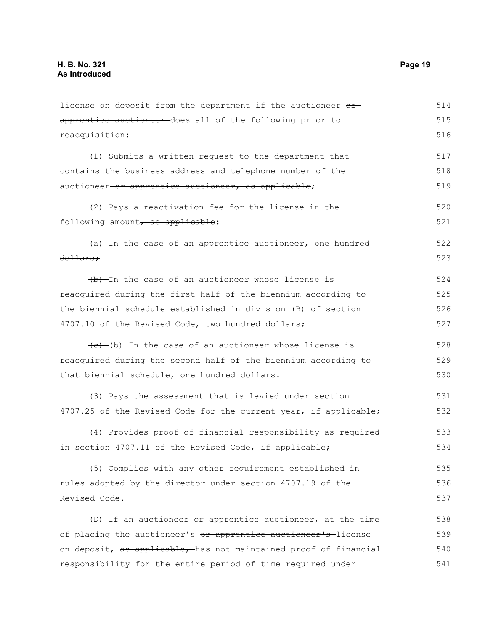apprentice auctioneer does all of the following prior to reacquisition: (1) Submits a written request to the department that contains the business address and telephone number of the auctioneer or apprentice auctioneer, as applicable; (2) Pays a reactivation fee for the license in the following amount, as applicable: (a) In the case of an apprentice auctioneer, one hundreddollars;  $(b)$ -In the case of an auctioneer whose license is reacquired during the first half of the biennium according to the biennial schedule established in division (B) of section 4707.10 of the Revised Code, two hundred dollars;  $(e)$  (b) In the case of an auctioneer whose license is reacquired during the second half of the biennium according to that biennial schedule, one hundred dollars. (3) Pays the assessment that is levied under section 4707.25 of the Revised Code for the current year, if applicable; (4) Provides proof of financial responsibility as required in section 4707.11 of the Revised Code, if applicable; (5) Complies with any other requirement established in rules adopted by the director under section 4707.19 of the Revised Code. (D) If an auctioneer  $-$ or apprentice auctioneer, at the time of placing the auctioneer's or apprentice auctioneer's license on deposit, as applicable, has not maintained proof of financial responsibility for the entire period of time required under 515 516 517 518 519 520 521 522 523 524 525 526 527 528 529 530 531 532 533 534 535 536 537 538 539 540 541

license on deposit from the department if the auctioneer  $\theta$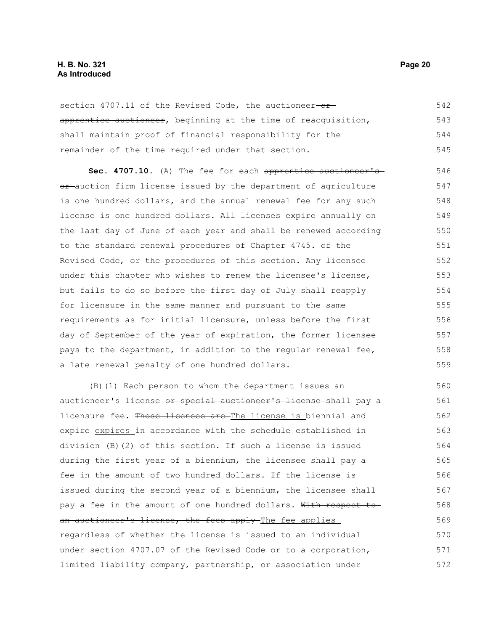### **H. B. No. 321 Page 20 As Introduced**

section 4707.11 of the Revised Code, the auctioneer-orapprentice auctioneer, beginning at the time of reacquisition, shall maintain proof of financial responsibility for the remainder of the time required under that section. 542 543 544 545

Sec. 4707.10. (A) The fee for each apprentice auctioneer'sor-auction firm license issued by the department of agriculture is one hundred dollars, and the annual renewal fee for any such license is one hundred dollars. All licenses expire annually on the last day of June of each year and shall be renewed according to the standard renewal procedures of Chapter 4745. of the Revised Code, or the procedures of this section. Any licensee under this chapter who wishes to renew the licensee's license, but fails to do so before the first day of July shall reapply for licensure in the same manner and pursuant to the same requirements as for initial licensure, unless before the first day of September of the year of expiration, the former licensee pays to the department, in addition to the regular renewal fee, a late renewal penalty of one hundred dollars. 546 547 548 549 550 551 552 553 554 555 556 557 558 559

(B)(1) Each person to whom the department issues an auctioneer's license or special auctioneer's license shall pay a licensure fee. Those licenses are The license is biennial and expire expires in accordance with the schedule established in division (B)(2) of this section. If such a license is issued during the first year of a biennium, the licensee shall pay a fee in the amount of two hundred dollars. If the license is issued during the second year of a biennium, the licensee shall pay a fee in the amount of one hundred dollars. With respect toan auctioneer's license, the fees apply The fee applies regardless of whether the license is issued to an individual under section 4707.07 of the Revised Code or to a corporation, limited liability company, partnership, or association under 560 561 562 563 564 565 566 567 568 569 570 571 572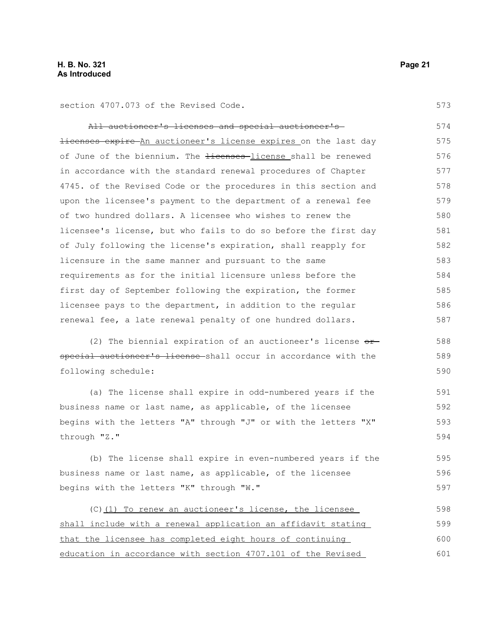section 4707.073 of the Revised Code.

All auctioneer's licenses and special auctioneer's licenses expire An auctioneer's license expires on the last day of June of the biennium. The <del>licenses</del>-license shall be renewed in accordance with the standard renewal procedures of Chapter 4745. of the Revised Code or the procedures in this section and upon the licensee's payment to the department of a renewal fee of two hundred dollars. A licensee who wishes to renew the licensee's license, but who fails to do so before the first day of July following the license's expiration, shall reapply for licensure in the same manner and pursuant to the same requirements as for the initial licensure unless before the first day of September following the expiration, the former licensee pays to the department, in addition to the regular renewal fee, a late renewal penalty of one hundred dollars. (2) The biennial expiration of an auctioneer's license  $or$ special auctioneer's license shall occur in accordance with the following schedule: (a) The license shall expire in odd-numbered years if the business name or last name, as applicable, of the licensee begins with the letters "A" through "J" or with the letters "X" through "Z." (b) The license shall expire in even-numbered years if the business name or last name, as applicable, of the licensee begins with the letters "K" through "W." (C)(1) To renew an auctioneer's license, the licensee shall include with a renewal application an affidavit stating that the licensee has completed eight hours of continuing education in accordance with section 4707.101 of the Revised 574 575 576 577 578 579 580 581 582 583 584 585 586 587 588 589 590 591 592 593 594 595 596 597 598 599 600 601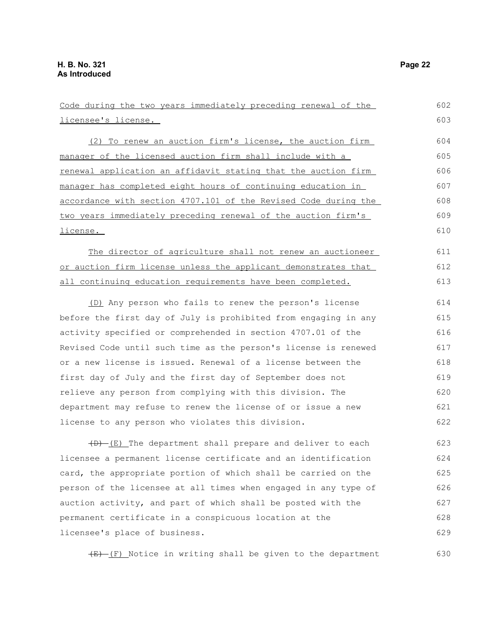licensee's license.

Code during the two years immediately preceding renewal of the

(2) To renew an auction firm's license, the auction firm manager of the licensed auction firm shall include with a renewal application an affidavit stating that the auction firm manager has completed eight hours of continuing education in accordance with section 4707.101 of the Revised Code during the two years immediately preceding renewal of the auction firm's license. 604 605 606 607 608 609 610

The director of agriculture shall not renew an auctioneer or auction firm license unless the applicant demonstrates that all continuing education requirements have been completed. 611 612 613

(D) Any person who fails to renew the person's license before the first day of July is prohibited from engaging in any activity specified or comprehended in section 4707.01 of the Revised Code until such time as the person's license is renewed or a new license is issued. Renewal of a license between the first day of July and the first day of September does not relieve any person from complying with this division. The department may refuse to renew the license of or issue a new license to any person who violates this division. 614 615 616 617 618 619 620 621 622

 $(D)$  (E) The department shall prepare and deliver to each licensee a permanent license certificate and an identification card, the appropriate portion of which shall be carried on the person of the licensee at all times when engaged in any type of auction activity, and part of which shall be posted with the permanent certificate in a conspicuous location at the licensee's place of business. 623 624 625 626 627 628 629

 $(E)$  (F) Notice in writing shall be given to the department

602 603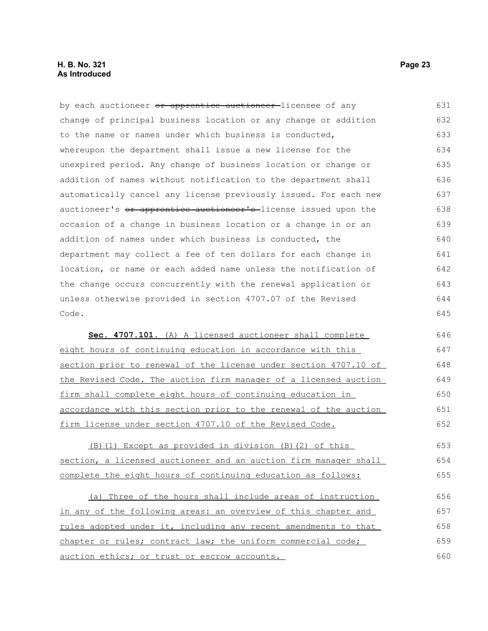### **H. B. No. 321 Page 23 As Introduced**

by each auctioneer or apprentice auctioneer licensee of any change of principal business location or any change or addition to the name or names under which business is conducted, whereupon the department shall issue a new license for the unexpired period. Any change of business location or change or addition of names without notification to the department shall automatically cancel any license previously issued. For each new auctioneer's or apprentice auctioneer's-license issued upon the occasion of a change in business location or a change in or an addition of names under which business is conducted, the department may collect a fee of ten dollars for each change in location, or name or each added name unless the notification of the change occurs concurrently with the renewal application or unless otherwise provided in section 4707.07 of the Revised Code. 631 632 633 634 635 636 637 638 639 640 641 642 643 644 645

 **Sec. 4707.101.** (A) A licensed auctioneer shall complete eight hours of continuing education in accordance with this section prior to renewal of the license under section 4707.10 of the Revised Code. The auction firm manager of a licensed auction firm shall complete eight hours of continuing education in accordance with this section prior to the renewal of the auction firm license under section 4707.10 of the Revised Code. 646 647 648 649 650 651 652

(B)(1) Except as provided in division (B)(2) of this section, a licensed auctioneer and an auction firm manager shall complete the eight hours of continuing education as follows: 653 654 655

(a) Three of the hours shall include areas of instruction in any of the following areas: an overview of this chapter and rules adopted under it, including any recent amendments to that chapter or rules; contract law; the uniform commercial code; auction ethics; or trust or escrow accounts. 656 657 658 659 660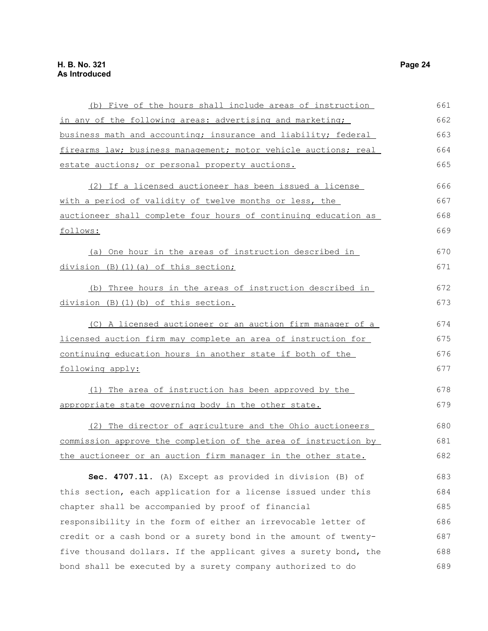| (b) Five of the hours shall include areas of instruction         | 661 |
|------------------------------------------------------------------|-----|
| in any of the following areas: advertising and marketing;        | 662 |
| business math and accounting; insurance and liability; federal   | 663 |
| firearms law; business management; motor vehicle auctions; real  | 664 |
| estate auctions; or personal property auctions.                  | 665 |
| (2) If a licensed auctioneer has been issued a license           | 666 |
| with a period of validity of twelve months or less, the          | 667 |
| auctioneer shall complete four hours of continuing education as  | 668 |
| follows:                                                         | 669 |
| (a) One hour in the areas of instruction described in            | 670 |
| division (B) (1) (a) of this section;                            | 671 |
| (b) Three hours in the areas of instruction described in         | 672 |
| division (B)(1)(b) of this section.                              | 673 |
| (C) A licensed auctioneer or an auction firm manager of a        | 674 |
| licensed auction firm may complete an area of instruction for    | 675 |
| continuing education hours in another state if both of the       | 676 |
| following apply:                                                 | 677 |
| (1) The area of instruction has been approved by the             | 678 |
| appropriate state governing body in the other state.             | 679 |
| (2) The director of agriculture and the Ohio auctioneers         | 680 |
| commission approve the completion of the area of instruction by  | 681 |
| the auctioneer or an auction firm manager in the other state.    | 682 |
| Sec. 4707.11. (A) Except as provided in division (B) of          | 683 |
| this section, each application for a license issued under this   | 684 |
| chapter shall be accompanied by proof of financial               | 685 |
| responsibility in the form of either an irrevocable letter of    | 686 |
| credit or a cash bond or a surety bond in the amount of twenty-  | 687 |
| five thousand dollars. If the applicant gives a surety bond, the | 688 |
| bond shall be executed by a surety company authorized to do      | 689 |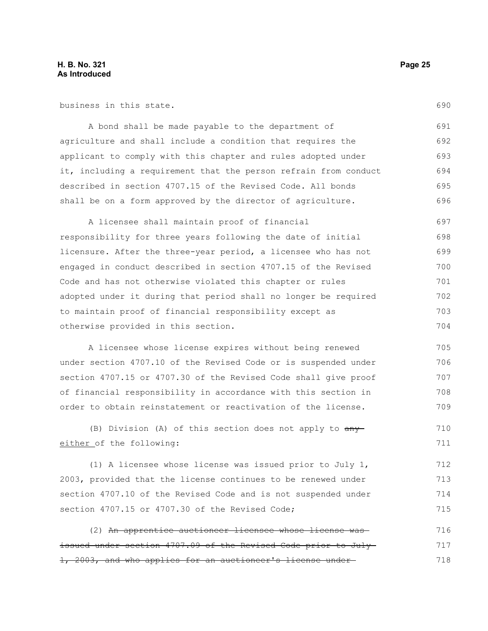business in this state.

A bond shall be made payable to the department of agriculture and shall include a condition that requires the applicant to comply with this chapter and rules adopted under it, including a requirement that the person refrain from conduct described in section 4707.15 of the Revised Code. All bonds shall be on a form approved by the director of agriculture. 691 692 693 694 695 696

A licensee shall maintain proof of financial responsibility for three years following the date of initial licensure. After the three-year period, a licensee who has not engaged in conduct described in section 4707.15 of the Revised Code and has not otherwise violated this chapter or rules adopted under it during that period shall no longer be required to maintain proof of financial responsibility except as otherwise provided in this section. 697 698 699 700 701 702 703 704

A licensee whose license expires without being renewed under section 4707.10 of the Revised Code or is suspended under section 4707.15 or 4707.30 of the Revised Code shall give proof of financial responsibility in accordance with this section in order to obtain reinstatement or reactivation of the license.

(B) Division (A) of this section does not apply to  $\frac{any}{ }$ either of the following: 710 711

(1) A licensee whose license was issued prior to July 1, 2003, provided that the license continues to be renewed under section 4707.10 of the Revised Code and is not suspended under section 4707.15 or 4707.30 of the Revised Code; 712 713 714 715

(2) An apprentice auctioneer licensee whose license was issued under section 4707.09 of the Revised Code prior to July 1, 2003, and who applies for an auctioneer's license under 716 717 718

690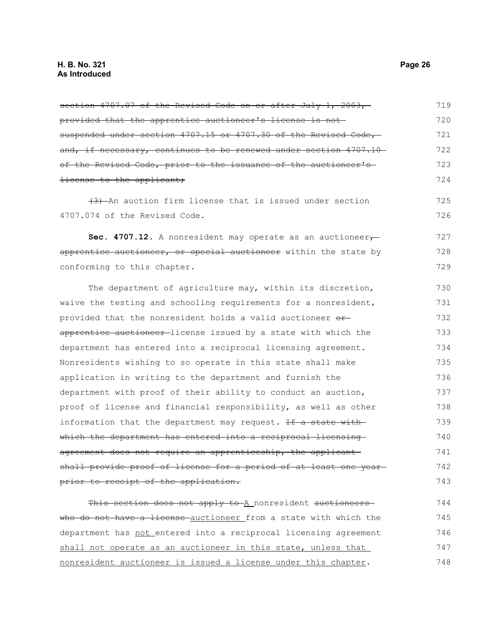section 4707.07 of the Revised Code on or after July 1, 2003, provided that the apprentice auctioneer's license is not suspended under section 4707.15 or 4707.30 of the Revised Code, and, if necessary, continues to be renewed under section 4707.10 of the Revised Code, prior to the issuance of the auctioneer's license to the applicant; (3) An auction firm license that is issued under section 4707.074 of the Revised Code. Sec. 4707.12. A nonresident may operate as an auctioneer<sub>7</sub> apprentice auctioneer, or special auctioneer within the state by conforming to this chapter. The department of agriculture may, within its discretion, waive the testing and schooling requirements for a nonresident, provided that the nonresident holds a valid auctioneer orapprentice auctioneer-license issued by a state with which the department has entered into a reciprocal licensing agreement. Nonresidents wishing to so operate in this state shall make application in writing to the department and furnish the department with proof of their ability to conduct an auction, proof of license and financial responsibility, as well as other information that the department may request. If a state with which the department has entered into a reciprocal licensing agreement does not require an apprenticeship, the applicant shall provide proof of license for a period of at least one year prior to receipt of the application. 719 720 721 722 723 724 725 726 727 728 729 730 731 732 733 734 735 736 737 738 739 740 741 742 743

This section does not apply to A nonresident auctioneers who do not have a license auctioneer from a state with which the department has not entered into a reciprocal licensing agreement shall not operate as an auctioneer in this state, unless that nonresident auctioneer is issued a license under this chapter. 744 745 746 747 748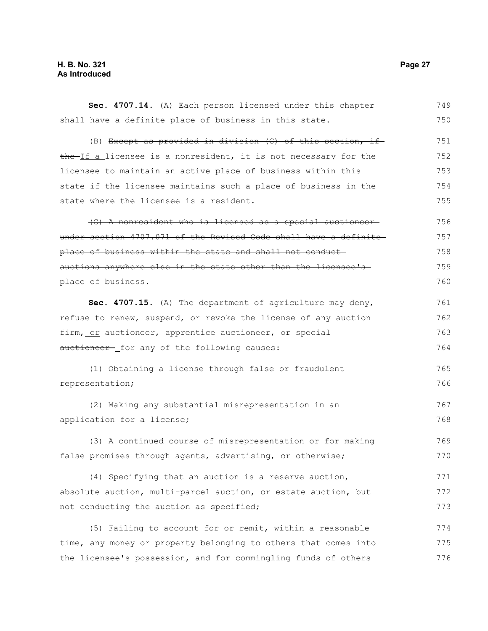### **H. B. No. 321 Page 27 As Introduced**

| Sec. 4707.14. (A) Each person licensed under this chapter                      | 749 |
|--------------------------------------------------------------------------------|-----|
| shall have a definite place of business in this state.                         | 750 |
| (B) Except as provided in division (C) of this section, if                     | 751 |
| the If a licensee is a nonresident, it is not necessary for the                | 752 |
| licensee to maintain an active place of business within this                   | 753 |
| state if the licensee maintains such a place of business in the                | 754 |
| state where the licensee is a resident.                                        | 755 |
| (C) A nonresident who is licensed as a special auctioneer-                     | 756 |
| under section 4707.071 of the Revised Code shall have a definite               | 757 |
| place of business within the state and shall not conduct-                      | 758 |
| auctions anywhere else in the state other than the licensee's-                 | 759 |
| place of business.                                                             | 760 |
| Sec. 4707.15. (A) The department of agriculture may deny,                      | 761 |
| refuse to renew, suspend, or revoke the license of any auction                 | 762 |
| firm <sub>7_Of</sub> auctioneer <del>, apprentice auctioneer, or special</del> | 763 |
| auctioneer- for any of the following causes:                                   | 764 |
| (1) Obtaining a license through false or fraudulent                            | 765 |
| representation;                                                                | 766 |
| (2) Making any substantial misrepresentation in an                             | 767 |
| application for a license;                                                     | 768 |
| (3) A continued course of misrepresentation or for making                      | 769 |
| false promises through agents, advertising, or otherwise;                      | 770 |
| (4) Specifying that an auction is a reserve auction,                           | 771 |
| absolute auction, multi-parcel auction, or estate auction, but                 | 772 |
| not conducting the auction as specified;                                       | 773 |
| (5) Failing to account for or remit, within a reasonable                       | 774 |
| time, any money or property belonging to others that comes into                | 775 |
| the licensee's possession, and for commingling funds of others                 | 776 |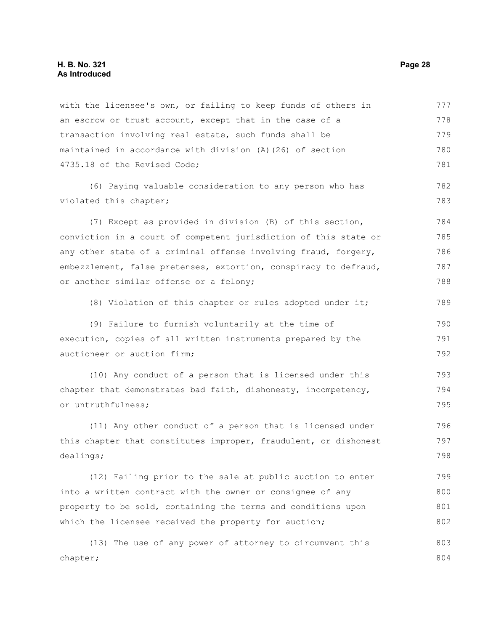with the licensee's own, or failing to keep funds of others in an escrow or trust account, except that in the case of a transaction involving real estate, such funds shall be maintained in accordance with division (A)(26) of section 4735.18 of the Revised Code; (6) Paying valuable consideration to any person who has violated this chapter; (7) Except as provided in division (B) of this section, conviction in a court of competent jurisdiction of this state or any other state of a criminal offense involving fraud, forgery, embezzlement, false pretenses, extortion, conspiracy to defraud, or another similar offense or a felony; (8) Violation of this chapter or rules adopted under it; (9) Failure to furnish voluntarily at the time of execution, copies of all written instruments prepared by the auctioneer or auction firm; (10) Any conduct of a person that is licensed under this chapter that demonstrates bad faith, dishonesty, incompetency, or untruthfulness; (11) Any other conduct of a person that is licensed under this chapter that constitutes improper, fraudulent, or dishonest dealings; (12) Failing prior to the sale at public auction to enter into a written contract with the owner or consignee of any property to be sold, containing the terms and conditions upon which the licensee received the property for auction; (13) The use of any power of attorney to circumvent this chapter; 777 778 779 780 781 782 783 784 785 786 787 788 789 790 791 792 793 794 795 796 797 798 799 800 801 802 803 804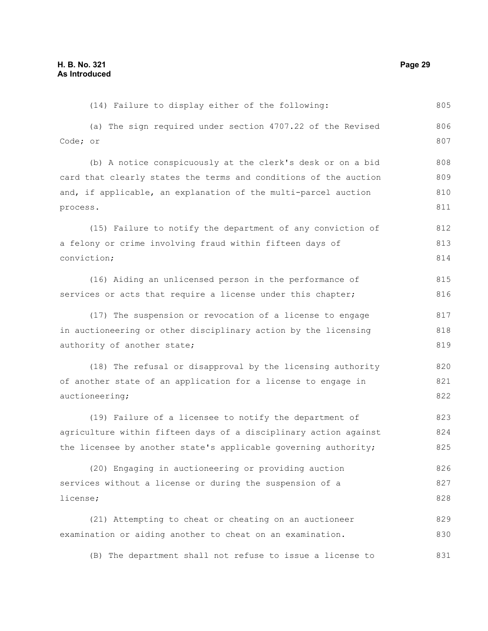(14) Failure to display either of the following: (a) The sign required under section 4707.22 of the Revised Code; or (b) A notice conspicuously at the clerk's desk or on a bid card that clearly states the terms and conditions of the auction and, if applicable, an explanation of the multi-parcel auction process. (15) Failure to notify the department of any conviction of a felony or crime involving fraud within fifteen days of conviction; (16) Aiding an unlicensed person in the performance of services or acts that require a license under this chapter; (17) The suspension or revocation of a license to engage in auctioneering or other disciplinary action by the licensing authority of another state; (18) The refusal or disapproval by the licensing authority of another state of an application for a license to engage in auctioneering; (19) Failure of a licensee to notify the department of agriculture within fifteen days of a disciplinary action against the licensee by another state's applicable governing authority; (20) Engaging in auctioneering or providing auction services without a license or during the suspension of a license; (21) Attempting to cheat or cheating on an auctioneer examination or aiding another to cheat on an examination. 805 806 807 808 809 810 811 812 813 814 815 816 817 818 819 820 821 822 823 824 825 826 827 828 829 830

(B) The department shall not refuse to issue a license to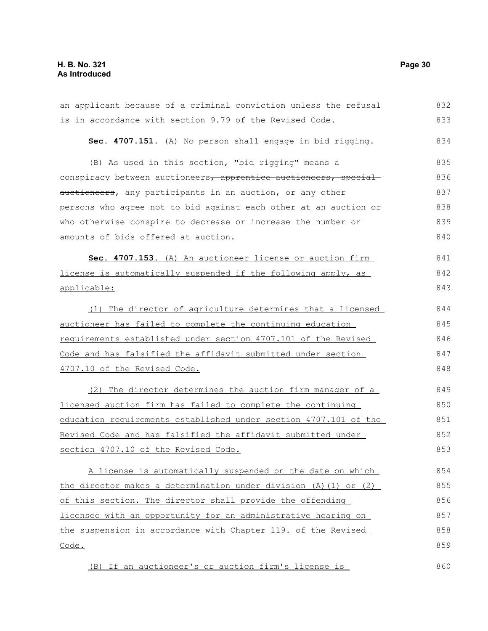### **H. B. No. 321 Page 30 As Introduced**

| an applicant because of a criminal conviction unless the refusal     | 832 |
|----------------------------------------------------------------------|-----|
| is in accordance with section 9.79 of the Revised Code.              | 833 |
| Sec. 4707.151. (A) No person shall engage in bid rigging.            | 834 |
| (B) As used in this section, "bid rigging" means a                   | 835 |
| conspiracy between auctioneers, apprentice auctioneers, special      | 836 |
| auctioneers, any participants in an auction, or any other            | 837 |
| persons who agree not to bid against each other at an auction or     | 838 |
| who otherwise conspire to decrease or increase the number or         | 839 |
| amounts of bids offered at auction.                                  | 840 |
| Sec. 4707.153. (A) An auctioneer license or auction firm             | 841 |
| license is automatically suspended if the following apply, as        | 842 |
| applicable:                                                          | 843 |
| (1) The director of agriculture determines that a licensed           | 844 |
| auctioneer has failed to complete the continuing education           | 845 |
| requirements established under section 4707.101 of the Revised       | 846 |
| Code and has falsified the affidavit submitted under section         | 847 |
| 4707.10 of the Revised Code.                                         | 848 |
| (2) The director determines the auction firm manager of a            | 849 |
| licensed auction firm has failed to complete the continuing          | 850 |
| education requirements established under section 4707.101 of the     | 851 |
| Revised Code and has falsified the affidavit submitted under         | 852 |
| section 4707.10 of the Revised Code.                                 | 853 |
| A license is automatically suspended on the date on which            | 854 |
| the director makes a determination under division $(A) (1)$ or $(2)$ | 855 |
| of this section. The director shall provide the offending            | 856 |
| licensee with an opportunity for an administrative hearing on        | 857 |
| the suspension in accordance with Chapter 119. of the Revised        | 858 |
| Code.                                                                | 859 |
| (B) If an auctioneer's or auction firm's license is                  | 860 |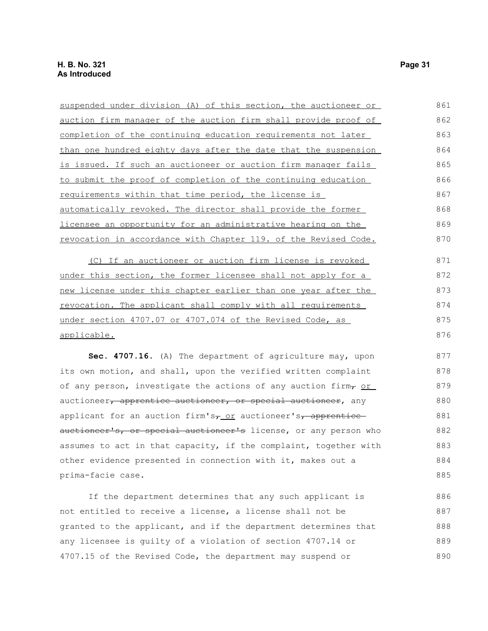| suspended under division (A) of this section, the auctioneer or                      | 861 |
|--------------------------------------------------------------------------------------|-----|
| auction firm manager of the auction firm shall provide proof of                      | 862 |
| completion of the continuing education requirements not later                        | 863 |
| than one hundred eighty days after the date that the suspension                      | 864 |
| is issued. If such an auctioneer or auction firm manager fails                       | 865 |
| to submit the proof of completion of the continuing education                        | 866 |
| requirements within that time period, the license is                                 | 867 |
| automatically revoked. The director shall provide the former                         | 868 |
| licensee an opportunity for an administrative hearing on the                         | 869 |
| revocation in accordance with Chapter 119. of the Revised Code.                      | 870 |
| (C) If an auctioneer or auction firm license is revoked                              | 871 |
| under this section, the former licensee shall not apply for a                        | 872 |
| new license under this chapter earlier than one year after the                       | 873 |
| revocation. The applicant shall comply with all requirements                         | 874 |
| under section 4707.07 or 4707.074 of the Revised Code, as                            | 875 |
| applicable.                                                                          | 876 |
| Sec. 4707.16. (A) The department of agriculture may, upon                            | 877 |
| its own motion, and shall, upon the verified written complaint                       | 878 |
| of any person, investigate the actions of any auction firm, or                       | 879 |
| auctioneer, apprentice auctioneer, or special auctioneer, any                        | 880 |
| applicant for an auction firm's <sub>7_Or</sub> auctioneer's <sub>7</sub> apprentice | 881 |
| auctioneer's, or special auctioneer's license, or any person who                     | 882 |
| assumes to act in that capacity, if the complaint, together with                     | 883 |
| other evidence presented in connection with it, makes out a                          | 884 |
| prima-facie case.                                                                    | 885 |
|                                                                                      |     |

If the department determines that any such applicant is not entitled to receive a license, a license shall not be granted to the applicant, and if the department determines that any licensee is guilty of a violation of section 4707.14 or 4707.15 of the Revised Code, the department may suspend or 886 887 888 889 890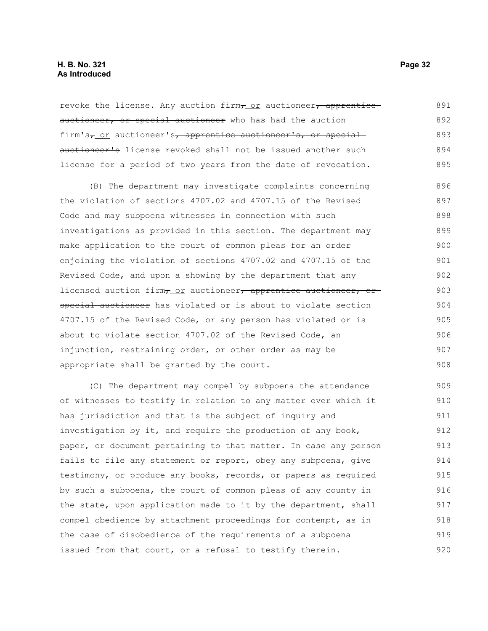revoke the license. Any auction firm, or auctioneer, apprentice auctioneer, or special auctioneer who has had the auction firm's<sub>7</sub> or auctioneer's, apprentice auctioneer's, or special auctioneer's license revoked shall not be issued another such license for a period of two years from the date of revocation. 891 892 893 894 895

(B) The department may investigate complaints concerning the violation of sections 4707.02 and 4707.15 of the Revised Code and may subpoena witnesses in connection with such investigations as provided in this section. The department may make application to the court of common pleas for an order enjoining the violation of sections 4707.02 and 4707.15 of the Revised Code, and upon a showing by the department that any licensed auction firm, or auctioneer, apprentice auctioneer, or special auctioneer has violated or is about to violate section 4707.15 of the Revised Code, or any person has violated or is about to violate section 4707.02 of the Revised Code, an injunction, restraining order, or other order as may be appropriate shall be granted by the court. 896 897 898 899 900 901 902 903 904 905 906 907 908

(C) The department may compel by subpoena the attendance of witnesses to testify in relation to any matter over which it has jurisdiction and that is the subject of inquiry and investigation by it, and require the production of any book, paper, or document pertaining to that matter. In case any person fails to file any statement or report, obey any subpoena, give testimony, or produce any books, records, or papers as required by such a subpoena, the court of common pleas of any county in the state, upon application made to it by the department, shall compel obedience by attachment proceedings for contempt, as in the case of disobedience of the requirements of a subpoena issued from that court, or a refusal to testify therein. 909 910 911 912 913 914 915 916 917 918 919 920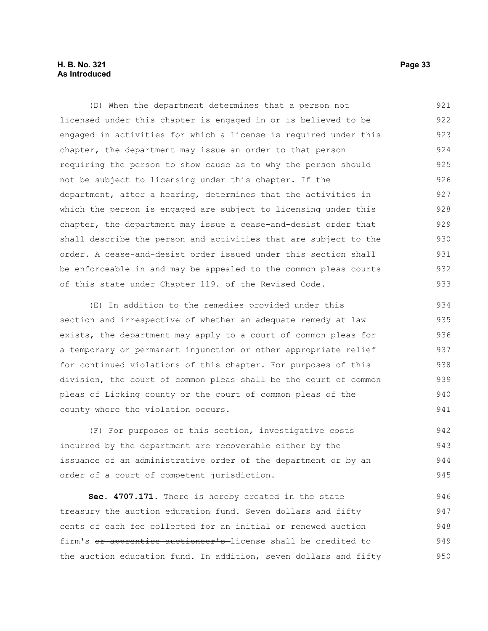### **H. B. No. 321 Page 33 As Introduced**

(D) When the department determines that a person not licensed under this chapter is engaged in or is believed to be engaged in activities for which a license is required under this chapter, the department may issue an order to that person requiring the person to show cause as to why the person should not be subject to licensing under this chapter. If the department, after a hearing, determines that the activities in which the person is engaged are subject to licensing under this chapter, the department may issue a cease-and-desist order that shall describe the person and activities that are subject to the order. A cease-and-desist order issued under this section shall be enforceable in and may be appealed to the common pleas courts of this state under Chapter 119. of the Revised Code. 921 922 923 924 925 926 927 928 929 930 931 932 933

(E) In addition to the remedies provided under this section and irrespective of whether an adequate remedy at law exists, the department may apply to a court of common pleas for a temporary or permanent injunction or other appropriate relief for continued violations of this chapter. For purposes of this division, the court of common pleas shall be the court of common pleas of Licking county or the court of common pleas of the county where the violation occurs. 934 935 936 937 938 939 940 941

(F) For purposes of this section, investigative costs incurred by the department are recoverable either by the issuance of an administrative order of the department or by an order of a court of competent jurisdiction. 942 943 944 945

**Sec. 4707.171.** There is hereby created in the state treasury the auction education fund. Seven dollars and fifty cents of each fee collected for an initial or renewed auction firm's or apprentice auctioneer's-license shall be credited to the auction education fund. In addition, seven dollars and fifty 946 947 948 949 950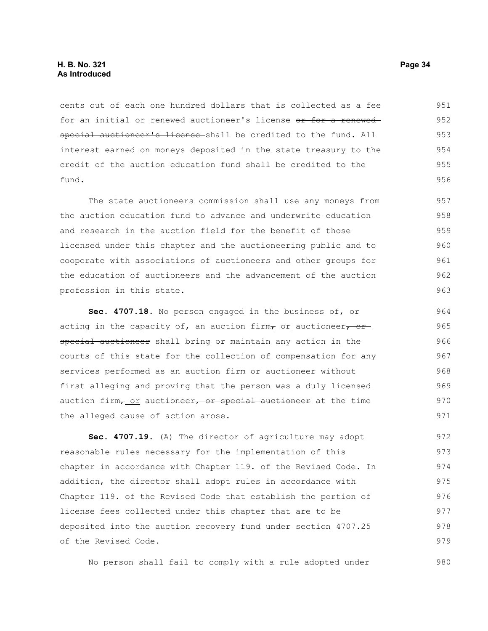cents out of each one hundred dollars that is collected as a fee for an initial or renewed auctioneer's license or for a renewed special auctioneer's license shall be credited to the fund. All interest earned on moneys deposited in the state treasury to the credit of the auction education fund shall be credited to the fund. 951 952 953 954 955 956

The state auctioneers commission shall use any moneys from the auction education fund to advance and underwrite education and research in the auction field for the benefit of those licensed under this chapter and the auctioneering public and to cooperate with associations of auctioneers and other groups for the education of auctioneers and the advancement of the auction profession in this state.

**Sec. 4707.18.** No person engaged in the business of, or acting in the capacity of, an auction firm $\tau$  or auctioneer, or special auctioneer shall bring or maintain any action in the courts of this state for the collection of compensation for any services performed as an auction firm or auctioneer without first alleging and proving that the person was a duly licensed auction firm<sub>7</sub> or auctioneer, or special auctioneer at the time the alleged cause of action arose. 964 965 966 967 968 969 970 971

**Sec. 4707.19.** (A) The director of agriculture may adopt reasonable rules necessary for the implementation of this chapter in accordance with Chapter 119. of the Revised Code. In addition, the director shall adopt rules in accordance with Chapter 119. of the Revised Code that establish the portion of license fees collected under this chapter that are to be deposited into the auction recovery fund under section 4707.25 of the Revised Code. 972 973 974 975 976 977 978 979

No person shall fail to comply with a rule adopted under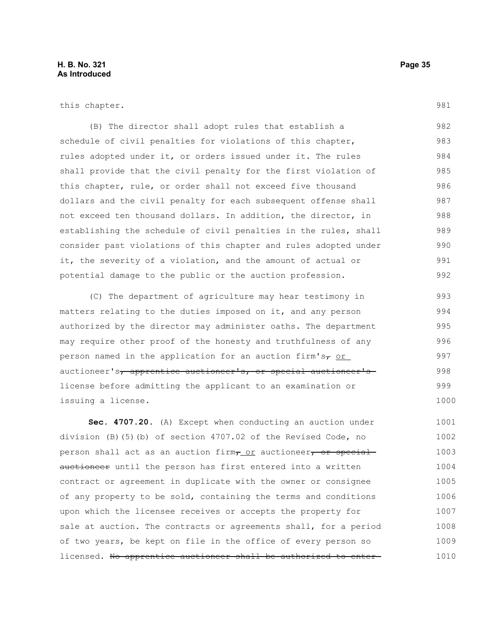this chapter.

(B) The director shall adopt rules that establish a schedule of civil penalties for violations of this chapter, rules adopted under it, or orders issued under it. The rules shall provide that the civil penalty for the first violation of this chapter, rule, or order shall not exceed five thousand dollars and the civil penalty for each subsequent offense shall not exceed ten thousand dollars. In addition, the director, in establishing the schedule of civil penalties in the rules, shall consider past violations of this chapter and rules adopted under it, the severity of a violation, and the amount of actual or potential damage to the public or the auction profession. 982 983 984 985 986 987 988 989 990 991 992

(C) The department of agriculture may hear testimony in matters relating to the duties imposed on it, and any person authorized by the director may administer oaths. The department may require other proof of the honesty and truthfulness of any person named in the application for an auction firm's $\tau$  or auctioneer's, apprentice auctioneer's, or special auctioneer's license before admitting the applicant to an examination or issuing a license.

**Sec. 4707.20.** (A) Except when conducting an auction under division (B)(5)(b) of section 4707.02 of the Revised Code, no person shall act as an auction firm, or auctioneer, or special auctioneer until the person has first entered into a written contract or agreement in duplicate with the owner or consignee of any property to be sold, containing the terms and conditions upon which the licensee receives or accepts the property for sale at auction. The contracts or agreements shall, for a period of two years, be kept on file in the office of every person so licensed. No apprentice auctioneer shall be authorized to enter-1001 1002 1003 1004 1005 1006 1007 1008 1009 1010

981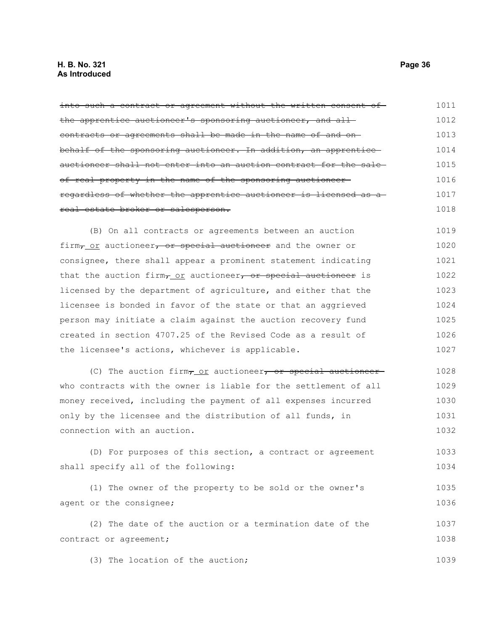#### **H. B. No. 321 Page 36 As Introduced**

into such a contract or agreement without the written consent of the apprentice auctioneer's sponsoring auctioneer, and all contracts or agreements shall be made in the name of and on behalf of the sponsoring auctioneer. In addition, an apprentice auctioneer shall not enter into an auction contract for the sale of real property in the name of the sponsoring auctioneer regardless of whether the apprentice auctioneer is licensed as a real estate broker or salesperson. (B) On all contracts or agreements between an auction firm $\tau$  or auctioneer, or special auctioneer and the owner or 1011 1012 1013 1014 1015 1016 1017 1018 1019 1020 1021 1022

consignee, there shall appear a prominent statement indicating that the auction firm $_{7.01}$  auctioneer, or special auctioneer is licensed by the department of agriculture, and either that the licensee is bonded in favor of the state or that an aggrieved person may initiate a claim against the auction recovery fund created in section 4707.25 of the Revised Code as a result of the licensee's actions, whichever is applicable. 1023 1024 1025 1026 1027

(C) The auction firm $\tau$  or auctioneer, or special auctioneerwho contracts with the owner is liable for the settlement of all money received, including the payment of all expenses incurred only by the licensee and the distribution of all funds, in connection with an auction. 1028 1029 1030 1031 1032

(D) For purposes of this section, a contract or agreement shall specify all of the following: 1033 1034

(1) The owner of the property to be sold or the owner's agent or the consignee; 1035 1036

(2) The date of the auction or a termination date of the contract or agreement; 1037 1038

(3) The location of the auction;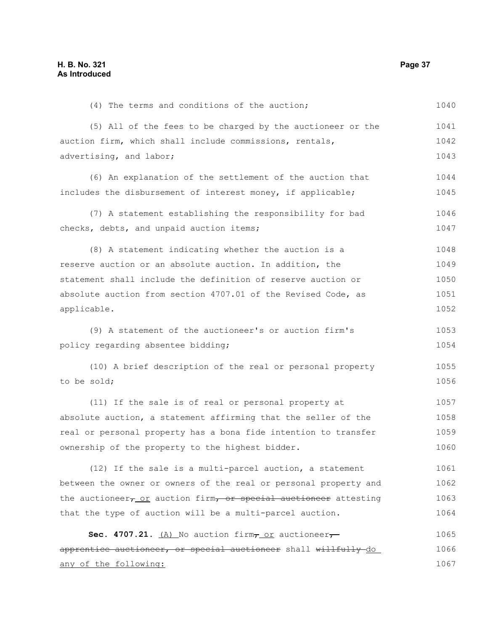(4) The terms and conditions of the auction; (5) All of the fees to be charged by the auctioneer or the auction firm, which shall include commissions, rentals, advertising, and labor; (6) An explanation of the settlement of the auction that includes the disbursement of interest money, if applicable; (7) A statement establishing the responsibility for bad checks, debts, and unpaid auction items; (8) A statement indicating whether the auction is a reserve auction or an absolute auction. In addition, the statement shall include the definition of reserve auction or absolute auction from section 4707.01 of the Revised Code, as applicable. (9) A statement of the auctioneer's or auction firm's policy regarding absentee bidding; (10) A brief description of the real or personal property to be sold; (11) If the sale is of real or personal property at absolute auction, a statement affirming that the seller of the real or personal property has a bona fide intention to transfer ownership of the property to the highest bidder. (12) If the sale is a multi-parcel auction, a statement between the owner or owners of the real or personal property and the auctioneer $_{\tau}$  or auction firm, or special auctioneer attesting that the type of auction will be a multi-parcel auction. **Sec. 4707.21.** (A) No auction firm $\tau$  or auctioneer $\tau$ apprentice auctioneer, or special auctioneer shall willfully do any of the following: 1040 1041 1042 1043 1044 1045 1046 1047 1048 1049 1050 1051 1052 1053 1054 1055 1056 1057 1058 1059 1060 1061 1062 1063 1064 1065 1066 1067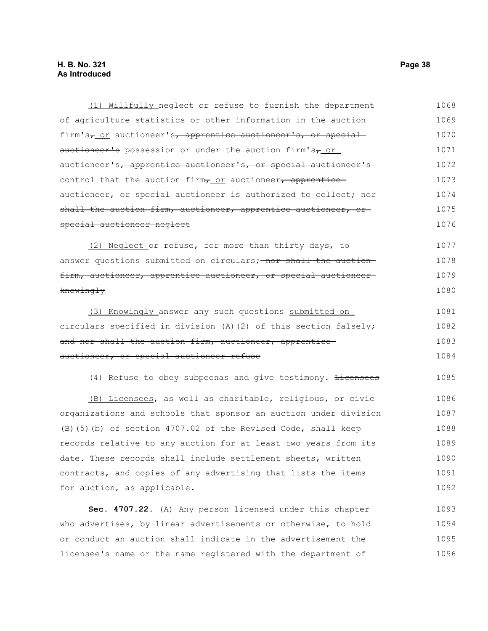### **H. B. No. 321 Page 38 As Introduced**

| (1) Willfully neglect or refuse to furnish the department                  | 1068 |
|----------------------------------------------------------------------------|------|
| of agriculture statistics or other information in the auction              | 1069 |
| firm's <sub>7</sub> or auctioneer's, apprentice auctioneer's, or special   | 1070 |
| auctioneer's possession or under the auction firm's <sub>7</sub> or        | 1071 |
| auctioneer's <del>, apprentice auctioneer's, or special auctioneer's</del> | 1072 |
| control that the auction firm <sub>7</sub> or auctioneer, apprentice       | 1073 |
| <del>auctioneer, or special auctioneer</del> is authorized to collect; nor | 1074 |
| shall the auction firm, auctioneer, apprentice auctioneer, or-             | 1075 |
| <del>special auctioneer neglect</del>                                      | 1076 |
| (2) Neglect or refuse, for more than thirty days, to                       | 1077 |
| answer questions submitted on circulars; nor shall the auction             | 1078 |
| <u>firm, auctioneer, apprentice auctioneer, or special auctioneer-</u>     | 1079 |
| <del>knowingly</del>                                                       | 1080 |
| (3) Knowingly answer any such-questions submitted on                       | 1081 |
| circulars specified in division (A)(2) of this section falsely;            | 1082 |
| <del>and nor shall the auction firm, auctioneer, apprentice-</del>         | 1083 |
| auctioneer, or special auctioneer refuse                                   | 1084 |
| (4) Refuse to obey subpoenas and give testimony. Licensees                 | 1085 |
| (B) Licensees, as well as charitable, religious, or civic                  | 1086 |
| organizations and schools that sponsor an auction under division           | 1087 |
| (B) (5) (b) of section 4707.02 of the Revised Code, shall keep             | 1088 |
| records relative to any auction for at least two years from its            | 1089 |
| date. These records shall include settlement sheets, written               | 1090 |
| contracts, and copies of any advertising that lists the items              | 1091 |
| for auction, as applicable.                                                | 1092 |
| Sec. 4707.22. (A) Any person licensed under this chapter                   | 1093 |

who advertises, by linear advertisements or otherwise, to hold or conduct an auction shall indicate in the advertisement the licensee's name or the name registered with the department of 1094 1095 1096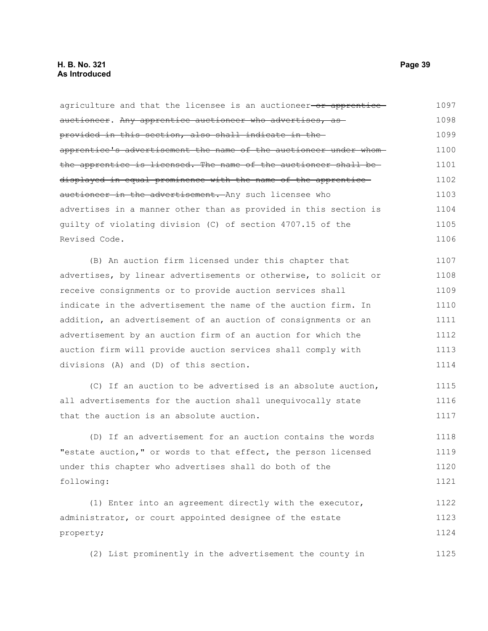agriculture and that the licensee is an auctioneer-or apprenticeauctioneer. Any apprentice auctioneer who advertises, as provided in this section, also shall indicate in the apprentice's advertisement the name of the auctioneer under whom the apprentice is licensed. The name of the auctioneer shall be displayed in equal prominence with the name of the apprentice auctioneer in the advertisement. Any such licensee who advertises in a manner other than as provided in this section is guilty of violating division (C) of section 4707.15 of the Revised Code. (B) An auction firm licensed under this chapter that advertises, by linear advertisements or otherwise, to solicit or receive consignments or to provide auction services shall indicate in the advertisement the name of the auction firm. In addition, an advertisement of an auction of consignments or an advertisement by an auction firm of an auction for which the auction firm will provide auction services shall comply with divisions (A) and (D) of this section. (C) If an auction to be advertised is an absolute auction, all advertisements for the auction shall unequivocally state that the auction is an absolute auction. (D) If an advertisement for an auction contains the words "estate auction," or words to that effect, the person licensed 1097 1098 1099 1100 1101 1102 1103 1104 1105 1106 1107 1108 1109 1110 1111 1112 1113 1114 1115 1116 1117 1118 1119

under this chapter who advertises shall do both of the following: 1120 1121

(1) Enter into an agreement directly with the executor, administrator, or court appointed designee of the estate property; 1122 1123 1124

(2) List prominently in the advertisement the county in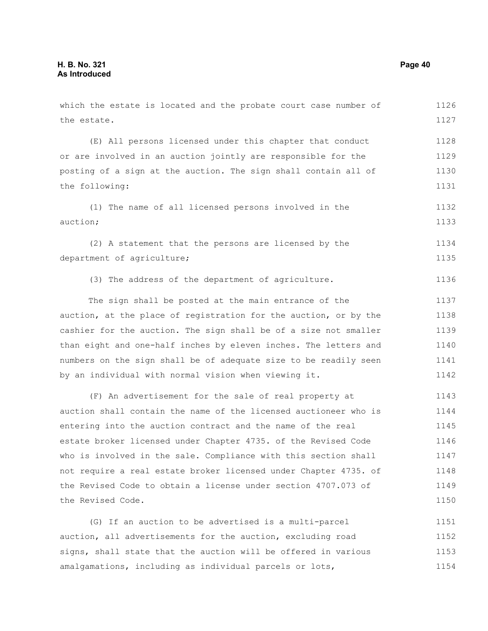which the estate is located and the probate court case number of the estate. (E) All persons licensed under this chapter that conduct or are involved in an auction jointly are responsible for the posting of a sign at the auction. The sign shall contain all of the following: (1) The name of all licensed persons involved in the auction; (2) A statement that the persons are licensed by the department of agriculture; (3) The address of the department of agriculture. The sign shall be posted at the main entrance of the auction, at the place of registration for the auction, or by the cashier for the auction. The sign shall be of a size not smaller than eight and one-half inches by eleven inches. The letters and numbers on the sign shall be of adequate size to be readily seen by an individual with normal vision when viewing it. (F) An advertisement for the sale of real property at auction shall contain the name of the licensed auctioneer who is entering into the auction contract and the name of the real estate broker licensed under Chapter 4735. of the Revised Code who is involved in the sale. Compliance with this section shall 1126 1127 1128 1129 1130 1131 1132 1133 1134 1135 1136 1137 1138 1139 1140 1141 1142 1143 1144 1145 1146 1147

not require a real estate broker licensed under Chapter 4735. of the Revised Code to obtain a license under section 4707.073 of the Revised Code. 1148 1149 1150

(G) If an auction to be advertised is a multi-parcel auction, all advertisements for the auction, excluding road signs, shall state that the auction will be offered in various amalgamations, including as individual parcels or lots, 1151 1152 1153 1154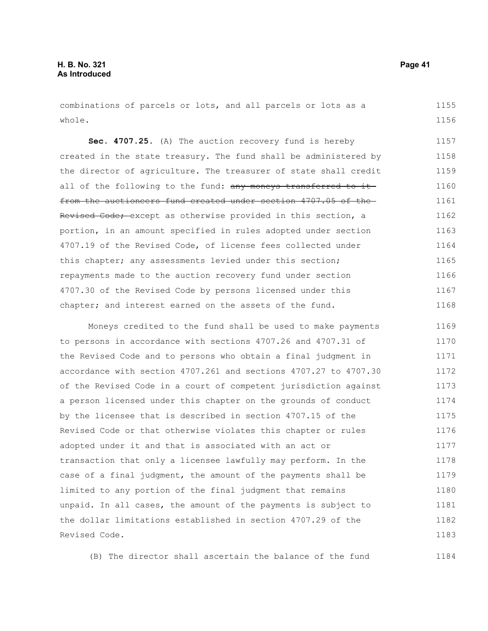combinations of parcels or lots, and all parcels or lots as a whole. 1155 1156

**Sec. 4707.25.** (A) The auction recovery fund is hereby created in the state treasury. The fund shall be administered by the director of agriculture. The treasurer of state shall credit all of the following to the fund: any moneys transferred to itfrom the auctioneers fund created under section 4707.05 of the Revised Code; except as otherwise provided in this section, a portion, in an amount specified in rules adopted under section 4707.19 of the Revised Code, of license fees collected under this chapter; any assessments levied under this section; repayments made to the auction recovery fund under section 4707.30 of the Revised Code by persons licensed under this chapter; and interest earned on the assets of the fund. 1157 1158 1159 1160 1161 1162 1163 1164 1165 1166 1167 1168

Moneys credited to the fund shall be used to make payments to persons in accordance with sections 4707.26 and 4707.31 of the Revised Code and to persons who obtain a final judgment in accordance with section 4707.261 and sections 4707.27 to 4707.30 of the Revised Code in a court of competent jurisdiction against a person licensed under this chapter on the grounds of conduct by the licensee that is described in section 4707.15 of the Revised Code or that otherwise violates this chapter or rules adopted under it and that is associated with an act or transaction that only a licensee lawfully may perform. In the case of a final judgment, the amount of the payments shall be limited to any portion of the final judgment that remains unpaid. In all cases, the amount of the payments is subject to the dollar limitations established in section 4707.29 of the Revised Code. 1169 1170 1171 1172 1173 1174 1175 1176 1177 1178 1179 1180 1181 1182 1183

(B) The director shall ascertain the balance of the fund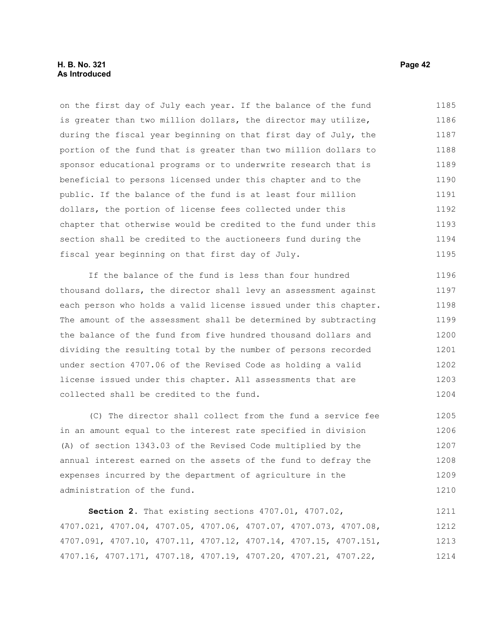on the first day of July each year. If the balance of the fund is greater than two million dollars, the director may utilize, during the fiscal year beginning on that first day of July, the portion of the fund that is greater than two million dollars to sponsor educational programs or to underwrite research that is beneficial to persons licensed under this chapter and to the public. If the balance of the fund is at least four million dollars, the portion of license fees collected under this chapter that otherwise would be credited to the fund under this section shall be credited to the auctioneers fund during the fiscal year beginning on that first day of July. 1185 1186 1187 1188 1189 1190 1191 1192 1193 1194 1195

If the balance of the fund is less than four hundred thousand dollars, the director shall levy an assessment against each person who holds a valid license issued under this chapter. The amount of the assessment shall be determined by subtracting the balance of the fund from five hundred thousand dollars and dividing the resulting total by the number of persons recorded under section 4707.06 of the Revised Code as holding a valid license issued under this chapter. All assessments that are collected shall be credited to the fund. 1196 1197 1198 1199 1200 1201 1202 1203 1204

(C) The director shall collect from the fund a service fee in an amount equal to the interest rate specified in division (A) of section 1343.03 of the Revised Code multiplied by the annual interest earned on the assets of the fund to defray the expenses incurred by the department of agriculture in the administration of the fund. 1205 1206 1207 1208 1209 1210

**Section 2.** That existing sections 4707.01, 4707.02, 4707.021, 4707.04, 4707.05, 4707.06, 4707.07, 4707.073, 4707.08, 4707.091, 4707.10, 4707.11, 4707.12, 4707.14, 4707.15, 4707.151, 4707.16, 4707.171, 4707.18, 4707.19, 4707.20, 4707.21, 4707.22, 1211 1212 1213 1214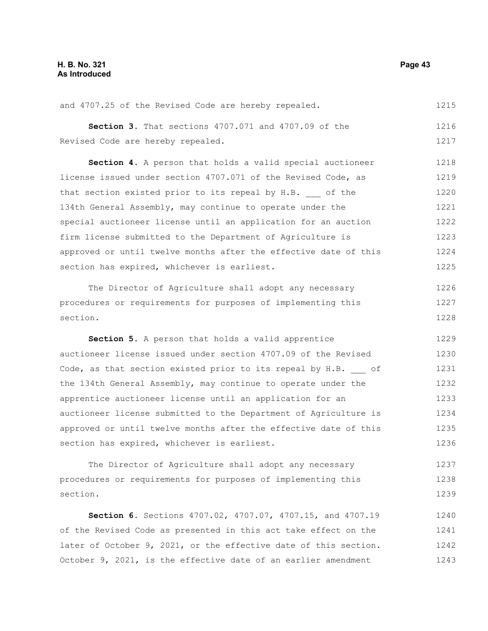and 4707.25 of the Revised Code are hereby repealed. 1215

**Section 3.** That sections 4707.071 and 4707.09 of the Revised Code are hereby repealed. 1216 1217

**Section 4.** A person that holds a valid special auctioneer license issued under section 4707.071 of the Revised Code, as that section existed prior to its repeal by H.B. of the 134th General Assembly, may continue to operate under the special auctioneer license until an application for an auction firm license submitted to the Department of Agriculture is approved or until twelve months after the effective date of this section has expired, whichever is earliest. 1218 1219 1220 1221 1222 1223 1224 1225

The Director of Agriculture shall adopt any necessary procedures or requirements for purposes of implementing this section. 1226 1227 1228

**Section 5.** A person that holds a valid apprentice auctioneer license issued under section 4707.09 of the Revised Code, as that section existed prior to its repeal by H.B. of the 134th General Assembly, may continue to operate under the apprentice auctioneer license until an application for an auctioneer license submitted to the Department of Agriculture is approved or until twelve months after the effective date of this section has expired, whichever is earliest. 1229 1230 1231 1232 1233 1234 1235 1236

The Director of Agriculture shall adopt any necessary procedures or requirements for purposes of implementing this section. 1237 1238 1239

**Section 6.** Sections 4707.02, 4707.07, 4707.15, and 4707.19 of the Revised Code as presented in this act take effect on the later of October 9, 2021, or the effective date of this section. October 9, 2021, is the effective date of an earlier amendment 1240 1241 1242 1243